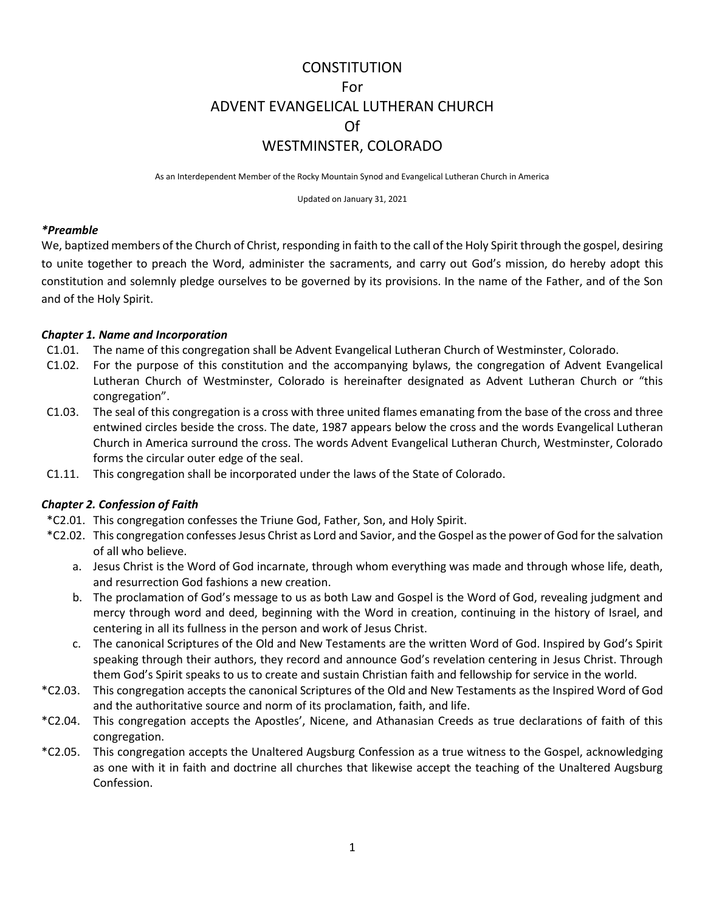# **CONSTITUTION** For ADVENT EVANGELICAL LUTHERAN CHURCH Of WESTMINSTER, COLORADO

As an Interdependent Member of the Rocky Mountain Synod and Evangelical Lutheran Church in America

Updated on January 31, 2021

#### *\*Preamble*

We, baptized members of the Church of Christ, responding in faith to the call of the Holy Spirit through the gospel, desiring to unite together to preach the Word, administer the sacraments, and carry out God's mission, do hereby adopt this constitution and solemnly pledge ourselves to be governed by its provisions. In the name of the Father, and of the Son and of the Holy Spirit.

## *Chapter 1. Name and Incorporation*

- C1.01. The name of this congregation shall be Advent Evangelical Lutheran Church of Westminster, Colorado.
- C1.02. For the purpose of this constitution and the accompanying bylaws, the congregation of Advent Evangelical Lutheran Church of Westminster, Colorado is hereinafter designated as Advent Lutheran Church or "this congregation".
- C1.03. The seal of this congregation is a cross with three united flames emanating from the base of the cross and three entwined circles beside the cross. The date, 1987 appears below the cross and the words Evangelical Lutheran Church in America surround the cross. The words Advent Evangelical Lutheran Church, Westminster, Colorado forms the circular outer edge of the seal.
- C1.11. This congregation shall be incorporated under the laws of the State of Colorado.

# *Chapter 2. Confession of Faith*

- \*C2.01. This congregation confesses the Triune God, Father, Son, and Holy Spirit.
- \*C2.02. This congregation confesses Jesus Christ as Lord and Savior, and the Gospel as the power of God for the salvation of all who believe.
	- a. Jesus Christ is the Word of God incarnate, through whom everything was made and through whose life, death, and resurrection God fashions a new creation.
	- b. The proclamation of God's message to us as both Law and Gospel is the Word of God, revealing judgment and mercy through word and deed, beginning with the Word in creation, continuing in the history of Israel, and centering in all its fullness in the person and work of Jesus Christ.
	- c. The canonical Scriptures of the Old and New Testaments are the written Word of God. Inspired by God's Spirit speaking through their authors, they record and announce God's revelation centering in Jesus Christ. Through them God's Spirit speaks to us to create and sustain Christian faith and fellowship for service in the world.
- \*C2.03. This congregation accepts the canonical Scriptures of the Old and New Testaments as the Inspired Word of God and the authoritative source and norm of its proclamation, faith, and life.
- \*C2.04. This congregation accepts the Apostles', Nicene, and Athanasian Creeds as true declarations of faith of this congregation.
- \*C2.05. This congregation accepts the Unaltered Augsburg Confession as a true witness to the Gospel, acknowledging as one with it in faith and doctrine all churches that likewise accept the teaching of the Unaltered Augsburg Confession.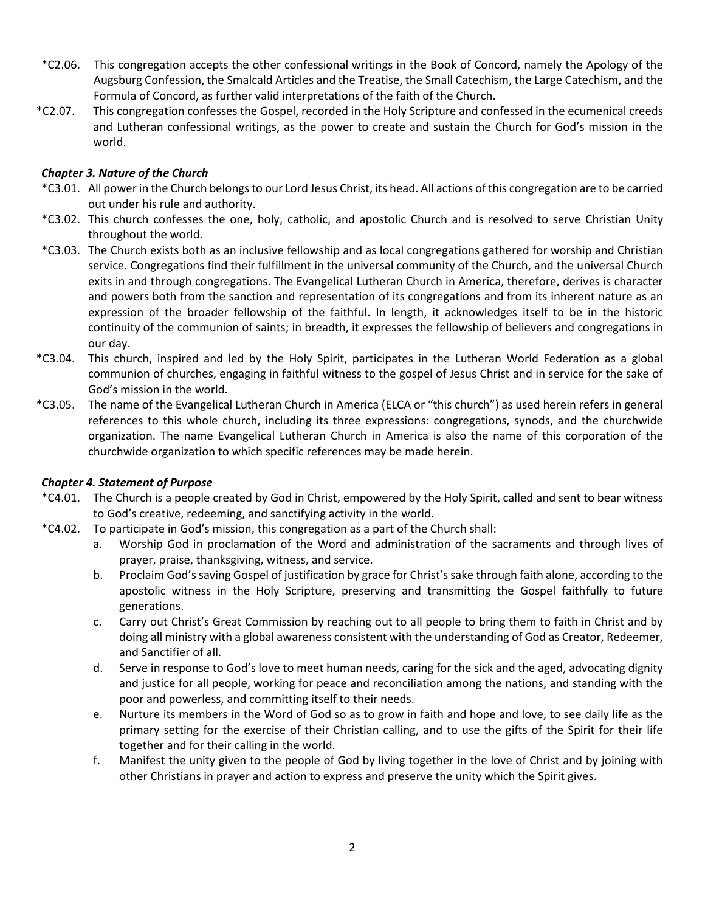- \*C2.06. This congregation accepts the other confessional writings in the Book of Concord, namely the Apology of the Augsburg Confession, the Smalcald Articles and the Treatise, the Small Catechism, the Large Catechism, and the Formula of Concord, as further valid interpretations of the faith of the Church.
- \*C2.07. This congregation confesses the Gospel, recorded in the Holy Scripture and confessed in the ecumenical creeds and Lutheran confessional writings, as the power to create and sustain the Church for God's mission in the world.

## *Chapter 3. Nature of the Church*

- \*C3.01. All power in the Church belongs to our Lord Jesus Christ, its head. All actions of this congregation are to be carried out under his rule and authority.
- \*C3.02. This church confesses the one, holy, catholic, and apostolic Church and is resolved to serve Christian Unity throughout the world.
- \*C3.03. The Church exists both as an inclusive fellowship and as local congregations gathered for worship and Christian service. Congregations find their fulfillment in the universal community of the Church, and the universal Church exits in and through congregations. The Evangelical Lutheran Church in America, therefore, derives is character and powers both from the sanction and representation of its congregations and from its inherent nature as an expression of the broader fellowship of the faithful. In length, it acknowledges itself to be in the historic continuity of the communion of saints; in breadth, it expresses the fellowship of believers and congregations in our day.
- \*C3.04. This church, inspired and led by the Holy Spirit, participates in the Lutheran World Federation as a global communion of churches, engaging in faithful witness to the gospel of Jesus Christ and in service for the sake of God's mission in the world.
- \*C3.05. The name of the Evangelical Lutheran Church in America (ELCA or "this church") as used herein refers in general references to this whole church, including its three expressions: congregations, synods, and the churchwide organization. The name Evangelical Lutheran Church in America is also the name of this corporation of the churchwide organization to which specific references may be made herein.

## *Chapter 4. Statement of Purpose*

- \*C4.01. The Church is a people created by God in Christ, empowered by the Holy Spirit, called and sent to bear witness to God's creative, redeeming, and sanctifying activity in the world.
- \*C4.02. To participate in God's mission, this congregation as a part of the Church shall:
	- a. Worship God in proclamation of the Word and administration of the sacraments and through lives of prayer, praise, thanksgiving, witness, and service.
	- b. Proclaim God's saving Gospel of justification by grace for Christ's sake through faith alone, according to the apostolic witness in the Holy Scripture, preserving and transmitting the Gospel faithfully to future generations.
	- c. Carry out Christ's Great Commission by reaching out to all people to bring them to faith in Christ and by doing all ministry with a global awareness consistent with the understanding of God as Creator, Redeemer, and Sanctifier of all.
	- d. Serve in response to God's love to meet human needs, caring for the sick and the aged, advocating dignity and justice for all people, working for peace and reconciliation among the nations, and standing with the poor and powerless, and committing itself to their needs.
	- e. Nurture its members in the Word of God so as to grow in faith and hope and love, to see daily life as the primary setting for the exercise of their Christian calling, and to use the gifts of the Spirit for their life together and for their calling in the world.
	- f. Manifest the unity given to the people of God by living together in the love of Christ and by joining with other Christians in prayer and action to express and preserve the unity which the Spirit gives.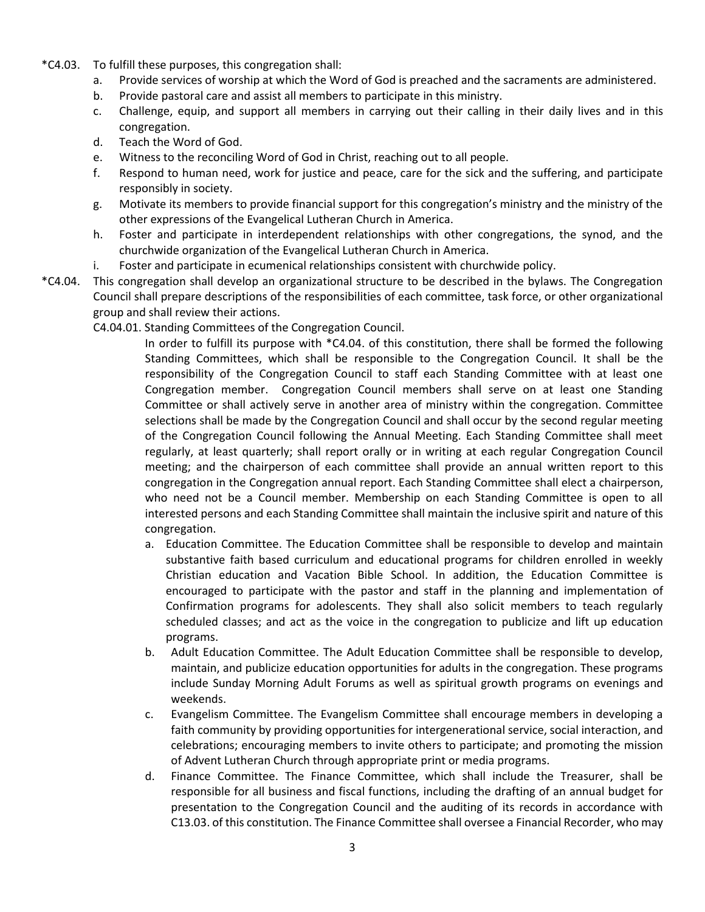- \*C4.03. To fulfill these purposes, this congregation shall:
	- a. Provide services of worship at which the Word of God is preached and the sacraments are administered.
	- b. Provide pastoral care and assist all members to participate in this ministry.
	- c. Challenge, equip, and support all members in carrying out their calling in their daily lives and in this congregation.
	- d. Teach the Word of God.
	- e. Witness to the reconciling Word of God in Christ, reaching out to all people.
	- f. Respond to human need, work for justice and peace, care for the sick and the suffering, and participate responsibly in society.
	- g. Motivate its members to provide financial support for this congregation's ministry and the ministry of the other expressions of the Evangelical Lutheran Church in America.
	- h. Foster and participate in interdependent relationships with other congregations, the synod, and the churchwide organization of the Evangelical Lutheran Church in America.
	- i. Foster and participate in ecumenical relationships consistent with churchwide policy.
- \*C4.04. This congregation shall develop an organizational structure to be described in the bylaws. The Congregation Council shall prepare descriptions of the responsibilities of each committee, task force, or other organizational group and shall review their actions.

C4.04.01. Standing Committees of the Congregation Council.

In order to fulfill its purpose with \*C4.04. of this constitution, there shall be formed the following Standing Committees, which shall be responsible to the Congregation Council. It shall be the responsibility of the Congregation Council to staff each Standing Committee with at least one Congregation member. Congregation Council members shall serve on at least one Standing Committee or shall actively serve in another area of ministry within the congregation. Committee selections shall be made by the Congregation Council and shall occur by the second regular meeting of the Congregation Council following the Annual Meeting. Each Standing Committee shall meet regularly, at least quarterly; shall report orally or in writing at each regular Congregation Council meeting; and the chairperson of each committee shall provide an annual written report to this congregation in the Congregation annual report. Each Standing Committee shall elect a chairperson, who need not be a Council member. Membership on each Standing Committee is open to all interested persons and each Standing Committee shall maintain the inclusive spirit and nature of this congregation.

- a. Education Committee. The Education Committee shall be responsible to develop and maintain substantive faith based curriculum and educational programs for children enrolled in weekly Christian education and Vacation Bible School. In addition, the Education Committee is encouraged to participate with the pastor and staff in the planning and implementation of Confirmation programs for adolescents. They shall also solicit members to teach regularly scheduled classes; and act as the voice in the congregation to publicize and lift up education programs.
- b. Adult Education Committee. The Adult Education Committee shall be responsible to develop, maintain, and publicize education opportunities for adults in the congregation. These programs include Sunday Morning Adult Forums as well as spiritual growth programs on evenings and weekends.
- c. Evangelism Committee. The Evangelism Committee shall encourage members in developing a faith community by providing opportunities for intergenerational service, social interaction, and celebrations; encouraging members to invite others to participate; and promoting the mission of Advent Lutheran Church through appropriate print or media programs.
- d. Finance Committee. The Finance Committee, which shall include the Treasurer, shall be responsible for all business and fiscal functions, including the drafting of an annual budget for presentation to the Congregation Council and the auditing of its records in accordance with C13.03. of this constitution. The Finance Committee shall oversee a Financial Recorder, who may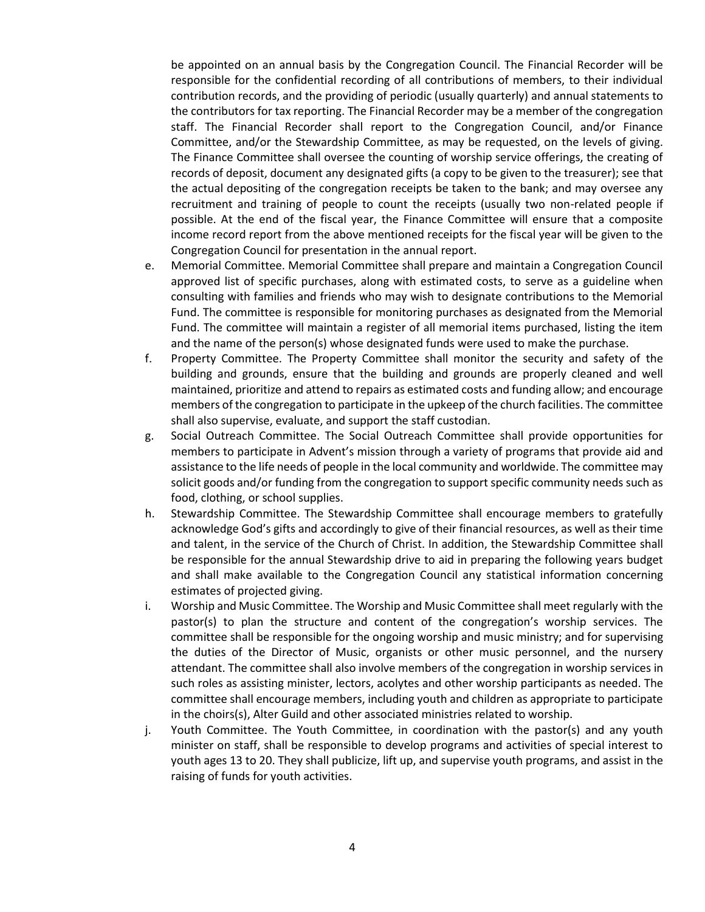be appointed on an annual basis by the Congregation Council. The Financial Recorder will be responsible for the confidential recording of all contributions of members, to their individual contribution records, and the providing of periodic (usually quarterly) and annual statements to the contributors for tax reporting. The Financial Recorder may be a member of the congregation staff. The Financial Recorder shall report to the Congregation Council, and/or Finance Committee, and/or the Stewardship Committee, as may be requested, on the levels of giving. The Finance Committee shall oversee the counting of worship service offerings, the creating of records of deposit, document any designated gifts (a copy to be given to the treasurer); see that the actual depositing of the congregation receipts be taken to the bank; and may oversee any recruitment and training of people to count the receipts (usually two non-related people if possible. At the end of the fiscal year, the Finance Committee will ensure that a composite income record report from the above mentioned receipts for the fiscal year will be given to the Congregation Council for presentation in the annual report.

- e. Memorial Committee. Memorial Committee shall prepare and maintain a Congregation Council approved list of specific purchases, along with estimated costs, to serve as a guideline when consulting with families and friends who may wish to designate contributions to the Memorial Fund. The committee is responsible for monitoring purchases as designated from the Memorial Fund. The committee will maintain a register of all memorial items purchased, listing the item and the name of the person(s) whose designated funds were used to make the purchase.
- f. Property Committee. The Property Committee shall monitor the security and safety of the building and grounds, ensure that the building and grounds are properly cleaned and well maintained, prioritize and attend to repairs as estimated costs and funding allow; and encourage members of the congregation to participate in the upkeep of the church facilities. The committee shall also supervise, evaluate, and support the staff custodian.
- g. Social Outreach Committee. The Social Outreach Committee shall provide opportunities for members to participate in Advent's mission through a variety of programs that provide aid and assistance to the life needs of people in the local community and worldwide. The committee may solicit goods and/or funding from the congregation to support specific community needs such as food, clothing, or school supplies.
- h. Stewardship Committee. The Stewardship Committee shall encourage members to gratefully acknowledge God's gifts and accordingly to give of their financial resources, as well as their time and talent, in the service of the Church of Christ. In addition, the Stewardship Committee shall be responsible for the annual Stewardship drive to aid in preparing the following years budget and shall make available to the Congregation Council any statistical information concerning estimates of projected giving.
- i. Worship and Music Committee. The Worship and Music Committee shall meet regularly with the pastor(s) to plan the structure and content of the congregation's worship services. The committee shall be responsible for the ongoing worship and music ministry; and for supervising the duties of the Director of Music, organists or other music personnel, and the nursery attendant. The committee shall also involve members of the congregation in worship services in such roles as assisting minister, lectors, acolytes and other worship participants as needed. The committee shall encourage members, including youth and children as appropriate to participate in the choirs(s), Alter Guild and other associated ministries related to worship.
- j. Youth Committee. The Youth Committee, in coordination with the pastor(s) and any youth minister on staff, shall be responsible to develop programs and activities of special interest to youth ages 13 to 20. They shall publicize, lift up, and supervise youth programs, and assist in the raising of funds for youth activities.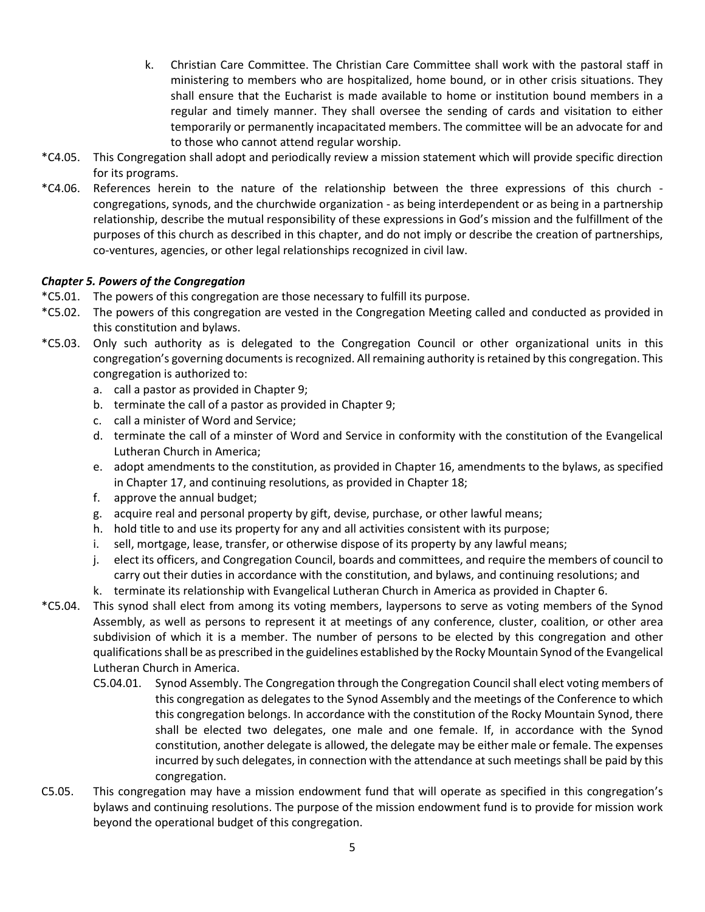- k. Christian Care Committee. The Christian Care Committee shall work with the pastoral staff in ministering to members who are hospitalized, home bound, or in other crisis situations. They shall ensure that the Eucharist is made available to home or institution bound members in a regular and timely manner. They shall oversee the sending of cards and visitation to either temporarily or permanently incapacitated members. The committee will be an advocate for and to those who cannot attend regular worship.
- \*C4.05. This Congregation shall adopt and periodically review a mission statement which will provide specific direction for its programs.
- \*C4.06. References herein to the nature of the relationship between the three expressions of this church congregations, synods, and the churchwide organization - as being interdependent or as being in a partnership relationship, describe the mutual responsibility of these expressions in God's mission and the fulfillment of the purposes of this church as described in this chapter, and do not imply or describe the creation of partnerships, co-ventures, agencies, or other legal relationships recognized in civil law.

# *Chapter 5. Powers of the Congregation*

- \*C5.01. The powers of this congregation are those necessary to fulfill its purpose.
- \*C5.02. The powers of this congregation are vested in the Congregation Meeting called and conducted as provided in this constitution and bylaws.
- \*C5.03. Only such authority as is delegated to the Congregation Council or other organizational units in this congregation's governing documents is recognized. All remaining authority is retained by this congregation. This congregation is authorized to:
	- a. call a pastor as provided in Chapter 9;
	- b. terminate the call of a pastor as provided in Chapter 9;
	- c. call a minister of Word and Service;
	- d. terminate the call of a minster of Word and Service in conformity with the constitution of the Evangelical Lutheran Church in America;
	- e. adopt amendments to the constitution, as provided in Chapter 16, amendments to the bylaws, as specified in Chapter 17, and continuing resolutions, as provided in Chapter 18;
	- f. approve the annual budget;
	- g. acquire real and personal property by gift, devise, purchase, or other lawful means;
	- h. hold title to and use its property for any and all activities consistent with its purpose;
	- i. sell, mortgage, lease, transfer, or otherwise dispose of its property by any lawful means;
	- j. elect its officers, and Congregation Council, boards and committees, and require the members of council to carry out their duties in accordance with the constitution, and bylaws, and continuing resolutions; and
	- k. terminate its relationship with Evangelical Lutheran Church in America as provided in Chapter 6.
- \*C5.04. This synod shall elect from among its voting members, laypersons to serve as voting members of the Synod Assembly, as well as persons to represent it at meetings of any conference, cluster, coalition, or other area subdivision of which it is a member. The number of persons to be elected by this congregation and other qualifications shall be as prescribed in the guidelines established by the Rocky Mountain Synod of the Evangelical Lutheran Church in America.
	- C5.04.01. Synod Assembly. The Congregation through the Congregation Council shall elect voting members of this congregation as delegates to the Synod Assembly and the meetings of the Conference to which this congregation belongs. In accordance with the constitution of the Rocky Mountain Synod, there shall be elected two delegates, one male and one female. If, in accordance with the Synod constitution, another delegate is allowed, the delegate may be either male or female. The expenses incurred by such delegates, in connection with the attendance at such meetings shall be paid by this congregation.
- C5.05. This congregation may have a mission endowment fund that will operate as specified in this congregation's bylaws and continuing resolutions. The purpose of the mission endowment fund is to provide for mission work beyond the operational budget of this congregation.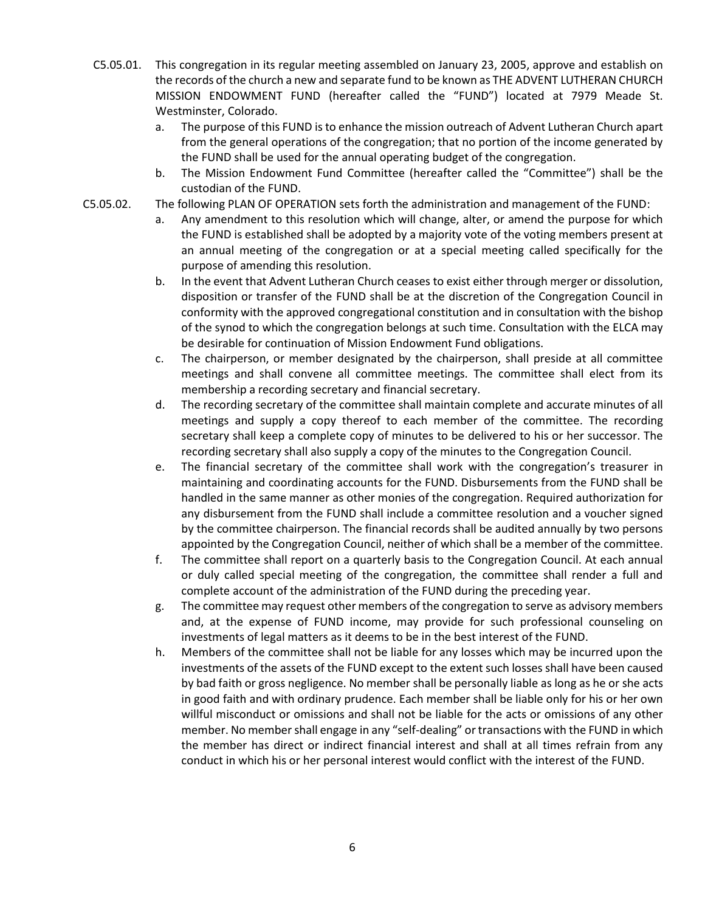- C5.05.01. This congregation in its regular meeting assembled on January 23, 2005, approve and establish on the records of the church a new and separate fund to be known as THE ADVENT LUTHERAN CHURCH MISSION ENDOWMENT FUND (hereafter called the "FUND") located at 7979 Meade St. Westminster, Colorado.
	- a. The purpose of this FUND is to enhance the mission outreach of Advent Lutheran Church apart from the general operations of the congregation; that no portion of the income generated by the FUND shall be used for the annual operating budget of the congregation.
	- b. The Mission Endowment Fund Committee (hereafter called the "Committee") shall be the custodian of the FUND.
- C5.05.02. The following PLAN OF OPERATION sets forth the administration and management of the FUND:
	- a. Any amendment to this resolution which will change, alter, or amend the purpose for which the FUND is established shall be adopted by a majority vote of the voting members present at an annual meeting of the congregation or at a special meeting called specifically for the purpose of amending this resolution.
	- b. In the event that Advent Lutheran Church ceases to exist either through merger or dissolution, disposition or transfer of the FUND shall be at the discretion of the Congregation Council in conformity with the approved congregational constitution and in consultation with the bishop of the synod to which the congregation belongs at such time. Consultation with the ELCA may be desirable for continuation of Mission Endowment Fund obligations.
	- c. The chairperson, or member designated by the chairperson, shall preside at all committee meetings and shall convene all committee meetings. The committee shall elect from its membership a recording secretary and financial secretary.
	- d. The recording secretary of the committee shall maintain complete and accurate minutes of all meetings and supply a copy thereof to each member of the committee. The recording secretary shall keep a complete copy of minutes to be delivered to his or her successor. The recording secretary shall also supply a copy of the minutes to the Congregation Council.
	- e. The financial secretary of the committee shall work with the congregation's treasurer in maintaining and coordinating accounts for the FUND. Disbursements from the FUND shall be handled in the same manner as other monies of the congregation. Required authorization for any disbursement from the FUND shall include a committee resolution and a voucher signed by the committee chairperson. The financial records shall be audited annually by two persons appointed by the Congregation Council, neither of which shall be a member of the committee.
	- f. The committee shall report on a quarterly basis to the Congregation Council. At each annual or duly called special meeting of the congregation, the committee shall render a full and complete account of the administration of the FUND during the preceding year.
	- g. The committee may request other members of the congregation to serve as advisory members and, at the expense of FUND income, may provide for such professional counseling on investments of legal matters as it deems to be in the best interest of the FUND.
	- h. Members of the committee shall not be liable for any losses which may be incurred upon the investments of the assets of the FUND except to the extent such losses shall have been caused by bad faith or gross negligence. No member shall be personally liable as long as he or she acts in good faith and with ordinary prudence. Each member shall be liable only for his or her own willful misconduct or omissions and shall not be liable for the acts or omissions of any other member. No member shall engage in any "self-dealing" or transactions with the FUND in which the member has direct or indirect financial interest and shall at all times refrain from any conduct in which his or her personal interest would conflict with the interest of the FUND.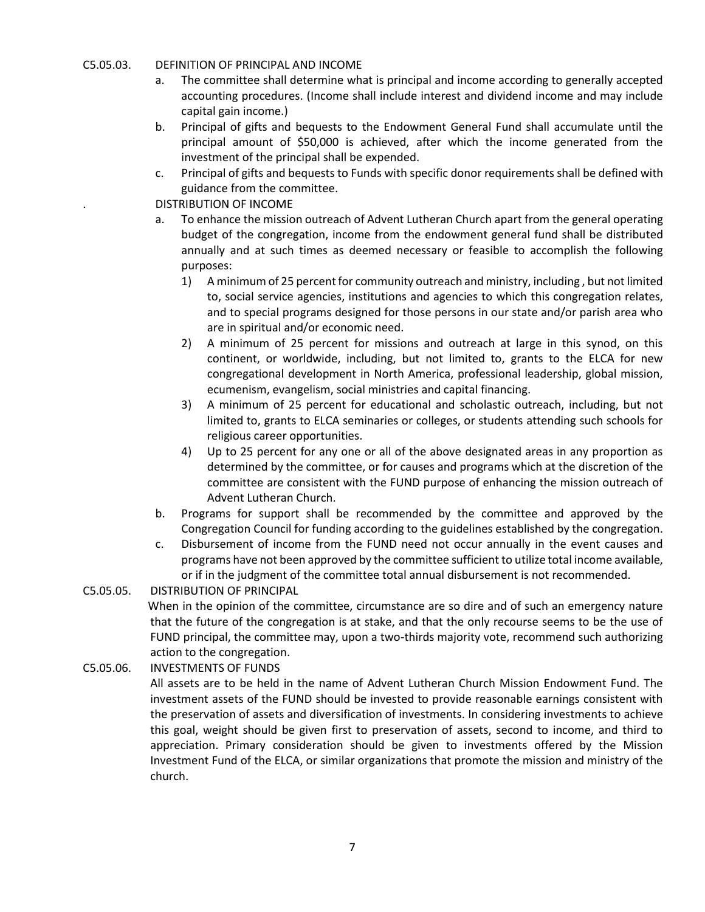## C5.05.03. DEFINITION OF PRINCIPAL AND INCOME

- a. The committee shall determine what is principal and income according to generally accepted accounting procedures. (Income shall include interest and dividend income and may include capital gain income.)
- b. Principal of gifts and bequests to the Endowment General Fund shall accumulate until the principal amount of \$50,000 is achieved, after which the income generated from the investment of the principal shall be expended.
- c. Principal of gifts and bequests to Funds with specific donor requirements shall be defined with guidance from the committee.

. DISTRIBUTION OF INCOME

- a. To enhance the mission outreach of Advent Lutheran Church apart from the general operating budget of the congregation, income from the endowment general fund shall be distributed annually and at such times as deemed necessary or feasible to accomplish the following purposes:
	- 1) A minimum of 25 percent for community outreach and ministry, including , but not limited to, social service agencies, institutions and agencies to which this congregation relates, and to special programs designed for those persons in our state and/or parish area who are in spiritual and/or economic need.
	- 2) A minimum of 25 percent for missions and outreach at large in this synod, on this continent, or worldwide, including, but not limited to, grants to the ELCA for new congregational development in North America, professional leadership, global mission, ecumenism, evangelism, social ministries and capital financing.
	- 3) A minimum of 25 percent for educational and scholastic outreach, including, but not limited to, grants to ELCA seminaries or colleges, or students attending such schools for religious career opportunities.
	- 4) Up to 25 percent for any one or all of the above designated areas in any proportion as determined by the committee, or for causes and programs which at the discretion of the committee are consistent with the FUND purpose of enhancing the mission outreach of Advent Lutheran Church.
- b. Programs for support shall be recommended by the committee and approved by the Congregation Council for funding according to the guidelines established by the congregation.
- c. Disbursement of income from the FUND need not occur annually in the event causes and programs have not been approved by the committee sufficient to utilize total income available, or if in the judgment of the committee total annual disbursement is not recommended.

C5.05.05. DISTRIBUTION OF PRINCIPAL

When in the opinion of the committee, circumstance are so dire and of such an emergency nature that the future of the congregation is at stake, and that the only recourse seems to be the use of FUND principal, the committee may, upon a two-thirds majority vote, recommend such authorizing action to the congregation.

C5.05.06. INVESTMENTS OF FUNDS

All assets are to be held in the name of Advent Lutheran Church Mission Endowment Fund. The investment assets of the FUND should be invested to provide reasonable earnings consistent with the preservation of assets and diversification of investments. In considering investments to achieve this goal, weight should be given first to preservation of assets, second to income, and third to appreciation. Primary consideration should be given to investments offered by the Mission Investment Fund of the ELCA, or similar organizations that promote the mission and ministry of the church.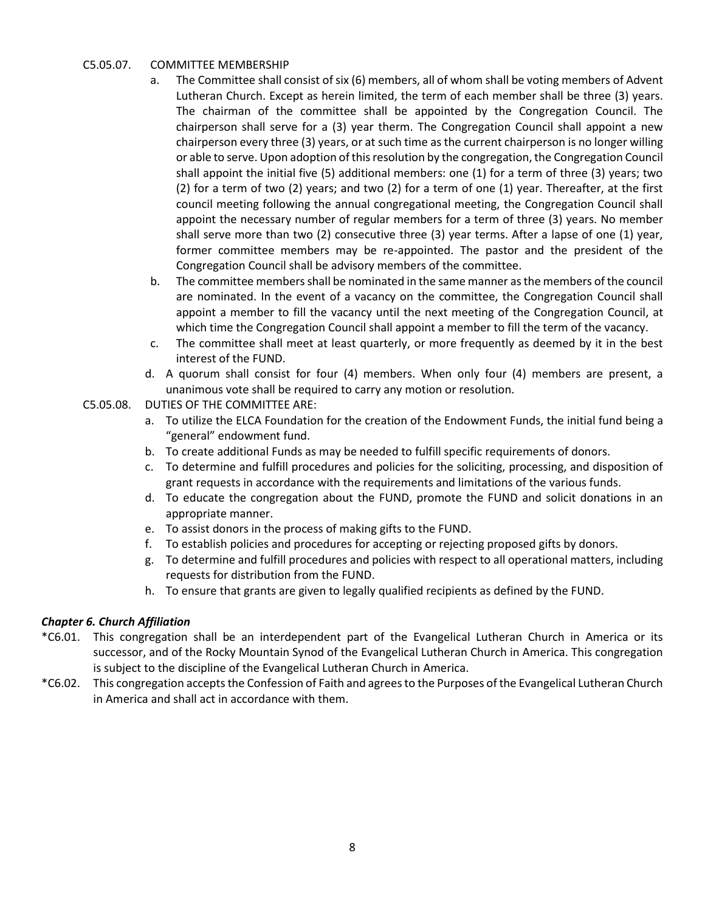## C5.05.07. COMMITTEE MEMBERSHIP

- a. The Committee shall consist of six (6) members, all of whom shall be voting members of Advent Lutheran Church. Except as herein limited, the term of each member shall be three (3) years. The chairman of the committee shall be appointed by the Congregation Council. The chairperson shall serve for a (3) year therm. The Congregation Council shall appoint a new chairperson every three (3) years, or at such time as the current chairperson is no longer willing or able to serve. Upon adoption of this resolution by the congregation, the Congregation Council shall appoint the initial five (5) additional members: one (1) for a term of three (3) years; two (2) for a term of two (2) years; and two (2) for a term of one (1) year. Thereafter, at the first council meeting following the annual congregational meeting, the Congregation Council shall appoint the necessary number of regular members for a term of three (3) years. No member shall serve more than two (2) consecutive three (3) year terms. After a lapse of one (1) year, former committee members may be re-appointed. The pastor and the president of the Congregation Council shall be advisory members of the committee.
- b. The committee members shall be nominated in the same manner as the members of the council are nominated. In the event of a vacancy on the committee, the Congregation Council shall appoint a member to fill the vacancy until the next meeting of the Congregation Council, at which time the Congregation Council shall appoint a member to fill the term of the vacancy.
- c. The committee shall meet at least quarterly, or more frequently as deemed by it in the best interest of the FUND.
- d. A quorum shall consist for four (4) members. When only four (4) members are present, a unanimous vote shall be required to carry any motion or resolution.
- C5.05.08. DUTIES OF THE COMMITTEE ARE:
	- a. To utilize the ELCA Foundation for the creation of the Endowment Funds, the initial fund being a "general" endowment fund.
	- b. To create additional Funds as may be needed to fulfill specific requirements of donors.
	- c. To determine and fulfill procedures and policies for the soliciting, processing, and disposition of grant requests in accordance with the requirements and limitations of the various funds.
	- d. To educate the congregation about the FUND, promote the FUND and solicit donations in an appropriate manner.
	- e. To assist donors in the process of making gifts to the FUND.
	- f. To establish policies and procedures for accepting or rejecting proposed gifts by donors.
	- g. To determine and fulfill procedures and policies with respect to all operational matters, including requests for distribution from the FUND.
	- h. To ensure that grants are given to legally qualified recipients as defined by the FUND.

# *Chapter 6. Church Affiliation*

- \*C6.01. This congregation shall be an interdependent part of the Evangelical Lutheran Church in America or its successor, and of the Rocky Mountain Synod of the Evangelical Lutheran Church in America. This congregation is subject to the discipline of the Evangelical Lutheran Church in America.
- \*C6.02. This congregation accepts the Confession of Faith and agrees to the Purposes of the Evangelical Lutheran Church in America and shall act in accordance with them.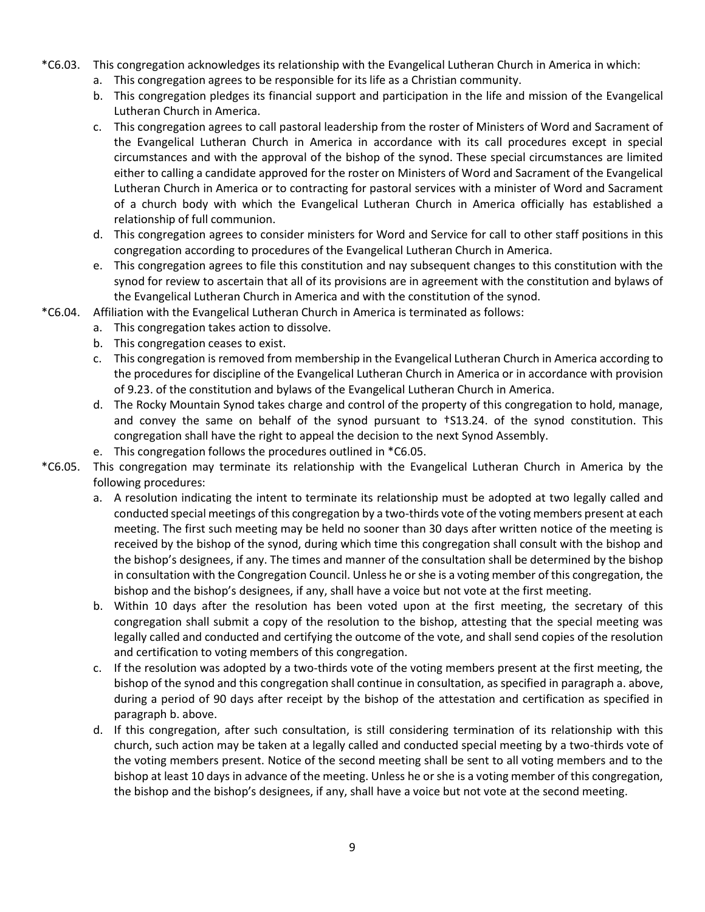- \*C6.03. This congregation acknowledges its relationship with the Evangelical Lutheran Church in America in which:
	- a. This congregation agrees to be responsible for its life as a Christian community.
	- b. This congregation pledges its financial support and participation in the life and mission of the Evangelical Lutheran Church in America.
	- c. This congregation agrees to call pastoral leadership from the roster of Ministers of Word and Sacrament of the Evangelical Lutheran Church in America in accordance with its call procedures except in special circumstances and with the approval of the bishop of the synod. These special circumstances are limited either to calling a candidate approved for the roster on Ministers of Word and Sacrament of the Evangelical Lutheran Church in America or to contracting for pastoral services with a minister of Word and Sacrament of a church body with which the Evangelical Lutheran Church in America officially has established a relationship of full communion.
	- d. This congregation agrees to consider ministers for Word and Service for call to other staff positions in this congregation according to procedures of the Evangelical Lutheran Church in America.
	- e. This congregation agrees to file this constitution and nay subsequent changes to this constitution with the synod for review to ascertain that all of its provisions are in agreement with the constitution and bylaws of the Evangelical Lutheran Church in America and with the constitution of the synod.
- \*C6.04. Affiliation with the Evangelical Lutheran Church in America is terminated as follows:
	- a. This congregation takes action to dissolve.
	- b. This congregation ceases to exist.
	- c. This congregation is removed from membership in the Evangelical Lutheran Church in America according to the procedures for discipline of the Evangelical Lutheran Church in America or in accordance with provision of 9.23. of the constitution and bylaws of the Evangelical Lutheran Church in America.
	- d. The Rocky Mountain Synod takes charge and control of the property of this congregation to hold, manage, and convey the same on behalf of the synod pursuant to †S13.24. of the synod constitution. This congregation shall have the right to appeal the decision to the next Synod Assembly.
	- e. This congregation follows the procedures outlined in \*C6.05.
- \*C6.05. This congregation may terminate its relationship with the Evangelical Lutheran Church in America by the following procedures:
	- a. A resolution indicating the intent to terminate its relationship must be adopted at two legally called and conducted special meetings of this congregation by a two-thirds vote of the voting members present at each meeting. The first such meeting may be held no sooner than 30 days after written notice of the meeting is received by the bishop of the synod, during which time this congregation shall consult with the bishop and the bishop's designees, if any. The times and manner of the consultation shall be determined by the bishop in consultation with the Congregation Council. Unless he or she is a voting member of this congregation, the bishop and the bishop's designees, if any, shall have a voice but not vote at the first meeting.
	- b. Within 10 days after the resolution has been voted upon at the first meeting, the secretary of this congregation shall submit a copy of the resolution to the bishop, attesting that the special meeting was legally called and conducted and certifying the outcome of the vote, and shall send copies of the resolution and certification to voting members of this congregation.
	- c. If the resolution was adopted by a two-thirds vote of the voting members present at the first meeting, the bishop of the synod and this congregation shall continue in consultation, as specified in paragraph a. above, during a period of 90 days after receipt by the bishop of the attestation and certification as specified in paragraph b. above.
	- d. If this congregation, after such consultation, is still considering termination of its relationship with this church, such action may be taken at a legally called and conducted special meeting by a two-thirds vote of the voting members present. Notice of the second meeting shall be sent to all voting members and to the bishop at least 10 days in advance of the meeting. Unless he or she is a voting member of this congregation, the bishop and the bishop's designees, if any, shall have a voice but not vote at the second meeting.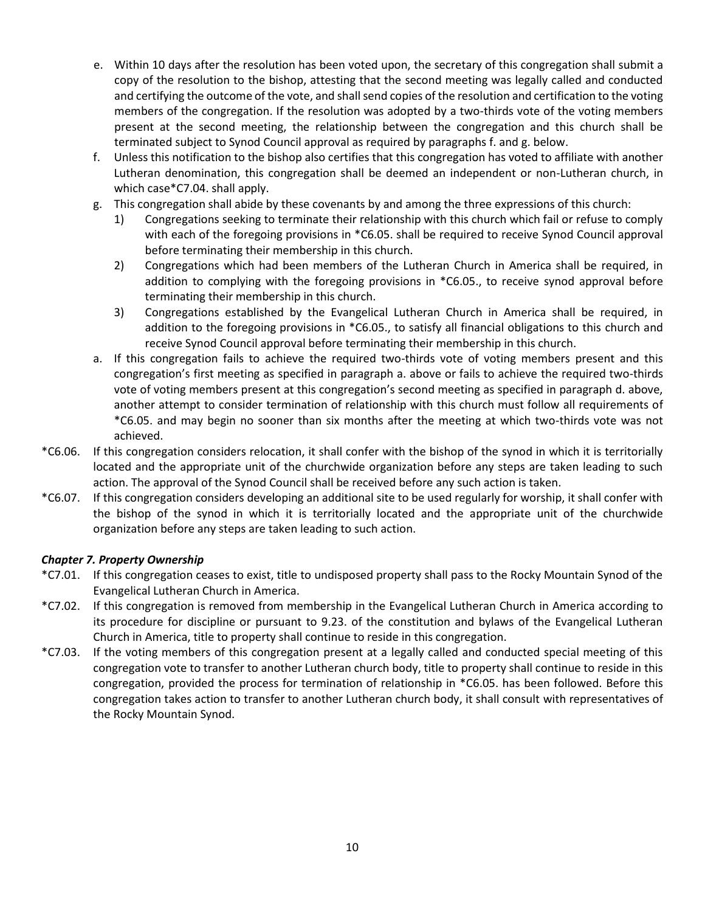- e. Within 10 days after the resolution has been voted upon, the secretary of this congregation shall submit a copy of the resolution to the bishop, attesting that the second meeting was legally called and conducted and certifying the outcome of the vote, and shall send copies of the resolution and certification to the voting members of the congregation. If the resolution was adopted by a two-thirds vote of the voting members present at the second meeting, the relationship between the congregation and this church shall be terminated subject to Synod Council approval as required by paragraphs f. and g. below.
- f. Unless this notification to the bishop also certifies that this congregation has voted to affiliate with another Lutheran denomination, this congregation shall be deemed an independent or non-Lutheran church, in which case\*C7.04. shall apply.
- g. This congregation shall abide by these covenants by and among the three expressions of this church:
	- 1) Congregations seeking to terminate their relationship with this church which fail or refuse to comply with each of the foregoing provisions in \*C6.05. shall be required to receive Synod Council approval before terminating their membership in this church.
	- 2) Congregations which had been members of the Lutheran Church in America shall be required, in addition to complying with the foregoing provisions in \*C6.05., to receive synod approval before terminating their membership in this church.
	- 3) Congregations established by the Evangelical Lutheran Church in America shall be required, in addition to the foregoing provisions in \*C6.05., to satisfy all financial obligations to this church and receive Synod Council approval before terminating their membership in this church.
- a. If this congregation fails to achieve the required two-thirds vote of voting members present and this congregation's first meeting as specified in paragraph a. above or fails to achieve the required two-thirds vote of voting members present at this congregation's second meeting as specified in paragraph d. above, another attempt to consider termination of relationship with this church must follow all requirements of \*C6.05. and may begin no sooner than six months after the meeting at which two-thirds vote was not achieved.
- \*C6.06. If this congregation considers relocation, it shall confer with the bishop of the synod in which it is territorially located and the appropriate unit of the churchwide organization before any steps are taken leading to such action. The approval of the Synod Council shall be received before any such action is taken.
- \*C6.07. If this congregation considers developing an additional site to be used regularly for worship, it shall confer with the bishop of the synod in which it is territorially located and the appropriate unit of the churchwide organization before any steps are taken leading to such action.

# *Chapter 7. Property Ownership*

- \*C7.01. If this congregation ceases to exist, title to undisposed property shall pass to the Rocky Mountain Synod of the Evangelical Lutheran Church in America.
- \*C7.02. If this congregation is removed from membership in the Evangelical Lutheran Church in America according to its procedure for discipline or pursuant to 9.23. of the constitution and bylaws of the Evangelical Lutheran Church in America, title to property shall continue to reside in this congregation.
- \*C7.03. If the voting members of this congregation present at a legally called and conducted special meeting of this congregation vote to transfer to another Lutheran church body, title to property shall continue to reside in this congregation, provided the process for termination of relationship in \*C6.05. has been followed. Before this congregation takes action to transfer to another Lutheran church body, it shall consult with representatives of the Rocky Mountain Synod.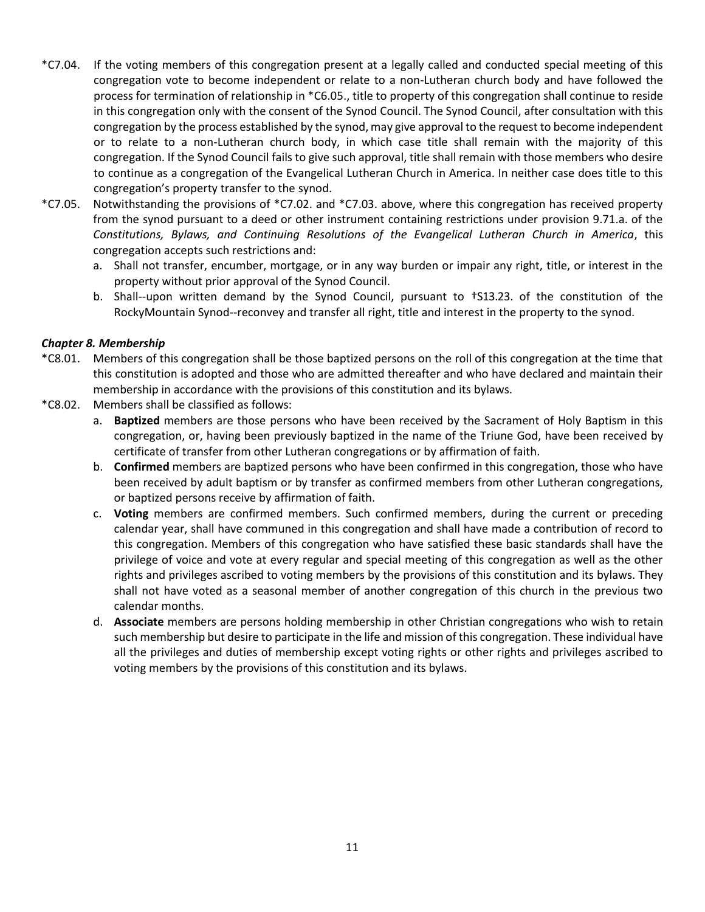- \*C7.04. If the voting members of this congregation present at a legally called and conducted special meeting of this congregation vote to become independent or relate to a non-Lutheran church body and have followed the process for termination of relationship in \*C6.05., title to property of this congregation shall continue to reside in this congregation only with the consent of the Synod Council. The Synod Council, after consultation with this congregation by the process established by the synod, may give approval to the request to become independent or to relate to a non-Lutheran church body, in which case title shall remain with the majority of this congregation. If the Synod Council fails to give such approval, title shall remain with those members who desire to continue as a congregation of the Evangelical Lutheran Church in America. In neither case does title to this congregation's property transfer to the synod.
- \*C7.05. Notwithstanding the provisions of \*C7.02. and \*C7.03. above, where this congregation has received property from the synod pursuant to a deed or other instrument containing restrictions under provision 9.71.a. of the *Constitutions, Bylaws, and Continuing Resolutions of the Evangelical Lutheran Church in America*, this congregation accepts such restrictions and:
	- a. Shall not transfer, encumber, mortgage, or in any way burden or impair any right, title, or interest in the property without prior approval of the Synod Council.
	- b. Shall--upon written demand by the Synod Council, pursuant to †S13.23. of the constitution of the RockyMountain Synod--reconvey and transfer all right, title and interest in the property to the synod.

## *Chapter 8. Membership*

- \*C8.01. Members of this congregation shall be those baptized persons on the roll of this congregation at the time that this constitution is adopted and those who are admitted thereafter and who have declared and maintain their membership in accordance with the provisions of this constitution and its bylaws.
- \*C8.02. Members shall be classified as follows:
	- a. **Baptized** members are those persons who have been received by the Sacrament of Holy Baptism in this congregation, or, having been previously baptized in the name of the Triune God, have been received by certificate of transfer from other Lutheran congregations or by affirmation of faith.
	- b. **Confirmed** members are baptized persons who have been confirmed in this congregation, those who have been received by adult baptism or by transfer as confirmed members from other Lutheran congregations, or baptized persons receive by affirmation of faith.
	- c. **Voting** members are confirmed members. Such confirmed members, during the current or preceding calendar year, shall have communed in this congregation and shall have made a contribution of record to this congregation. Members of this congregation who have satisfied these basic standards shall have the privilege of voice and vote at every regular and special meeting of this congregation as well as the other rights and privileges ascribed to voting members by the provisions of this constitution and its bylaws. They shall not have voted as a seasonal member of another congregation of this church in the previous two calendar months.
	- d. **Associate** members are persons holding membership in other Christian congregations who wish to retain such membership but desire to participate in the life and mission of this congregation. These individual have all the privileges and duties of membership except voting rights or other rights and privileges ascribed to voting members by the provisions of this constitution and its bylaws.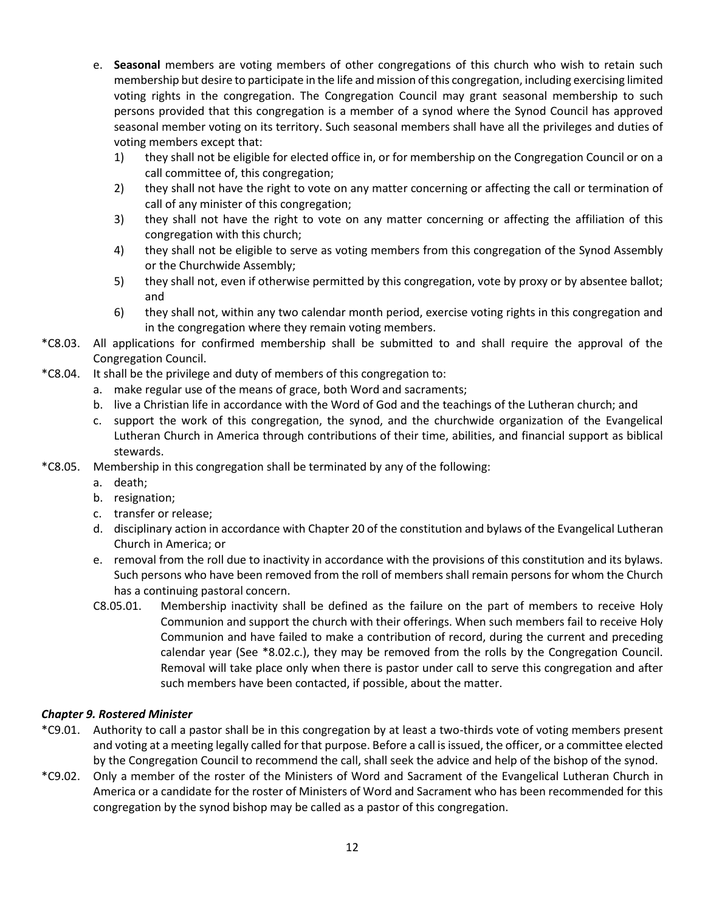- e. **Seasonal** members are voting members of other congregations of this church who wish to retain such membership but desire to participate in the life and mission of this congregation, including exercising limited voting rights in the congregation. The Congregation Council may grant seasonal membership to such persons provided that this congregation is a member of a synod where the Synod Council has approved seasonal member voting on its territory. Such seasonal members shall have all the privileges and duties of voting members except that:
	- 1) they shall not be eligible for elected office in, or for membership on the Congregation Council or on a call committee of, this congregation;
	- 2) they shall not have the right to vote on any matter concerning or affecting the call or termination of call of any minister of this congregation;
	- 3) they shall not have the right to vote on any matter concerning or affecting the affiliation of this congregation with this church;
	- 4) they shall not be eligible to serve as voting members from this congregation of the Synod Assembly or the Churchwide Assembly;
	- 5) they shall not, even if otherwise permitted by this congregation, vote by proxy or by absentee ballot; and
	- 6) they shall not, within any two calendar month period, exercise voting rights in this congregation and in the congregation where they remain voting members.
- \*C8.03. All applications for confirmed membership shall be submitted to and shall require the approval of the Congregation Council.
- \*C8.04. It shall be the privilege and duty of members of this congregation to:
	- a. make regular use of the means of grace, both Word and sacraments;
	- b. live a Christian life in accordance with the Word of God and the teachings of the Lutheran church; and
	- c. support the work of this congregation, the synod, and the churchwide organization of the Evangelical Lutheran Church in America through contributions of their time, abilities, and financial support as biblical stewards.
- \*C8.05. Membership in this congregation shall be terminated by any of the following:
	- a. death;
	- b. resignation;
	- c. transfer or release;
	- d. disciplinary action in accordance with Chapter 20 of the constitution and bylaws of the Evangelical Lutheran Church in America; or
	- e. removal from the roll due to inactivity in accordance with the provisions of this constitution and its bylaws. Such persons who have been removed from the roll of members shall remain persons for whom the Church has a continuing pastoral concern.
	- C8.05.01. Membership inactivity shall be defined as the failure on the part of members to receive Holy Communion and support the church with their offerings. When such members fail to receive Holy Communion and have failed to make a contribution of record, during the current and preceding calendar year (See \*8.02.c.), they may be removed from the rolls by the Congregation Council. Removal will take place only when there is pastor under call to serve this congregation and after such members have been contacted, if possible, about the matter.

# *Chapter 9. Rostered Minister*

- \*C9.01. Authority to call a pastor shall be in this congregation by at least a two-thirds vote of voting members present and voting at a meeting legally called for that purpose. Before a call is issued, the officer, or a committee elected by the Congregation Council to recommend the call, shall seek the advice and help of the bishop of the synod.
- \*C9.02. Only a member of the roster of the Ministers of Word and Sacrament of the Evangelical Lutheran Church in America or a candidate for the roster of Ministers of Word and Sacrament who has been recommended for this congregation by the synod bishop may be called as a pastor of this congregation.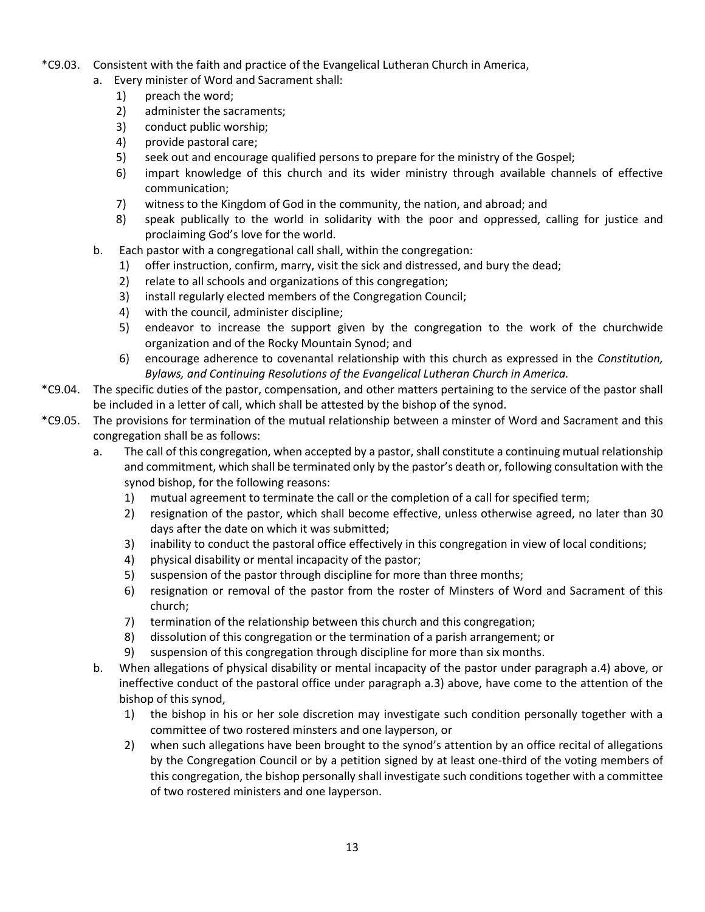- \*C9.03. Consistent with the faith and practice of the Evangelical Lutheran Church in America,
	- a. Every minister of Word and Sacrament shall:
		- 1) preach the word;
		- 2) administer the sacraments;
		- 3) conduct public worship;
		- 4) provide pastoral care;
		- 5) seek out and encourage qualified persons to prepare for the ministry of the Gospel;
		- 6) impart knowledge of this church and its wider ministry through available channels of effective communication;
		- 7) witness to the Kingdom of God in the community, the nation, and abroad; and
		- 8) speak publically to the world in solidarity with the poor and oppressed, calling for justice and proclaiming God's love for the world.
	- b. Each pastor with a congregational call shall, within the congregation:
		- 1) offer instruction, confirm, marry, visit the sick and distressed, and bury the dead;
		- 2) relate to all schools and organizations of this congregation;
		- 3) install regularly elected members of the Congregation Council;
		- 4) with the council, administer discipline;
		- 5) endeavor to increase the support given by the congregation to the work of the churchwide organization and of the Rocky Mountain Synod; and
		- 6) encourage adherence to covenantal relationship with this church as expressed in the *Constitution, Bylaws, and Continuing Resolutions of the Evangelical Lutheran Church in America.*
- \*C9.04. The specific duties of the pastor, compensation, and other matters pertaining to the service of the pastor shall be included in a letter of call, which shall be attested by the bishop of the synod.
- \*C9.05. The provisions for termination of the mutual relationship between a minster of Word and Sacrament and this congregation shall be as follows:
	- a. The call of this congregation, when accepted by a pastor, shall constitute a continuing mutual relationship and commitment, which shall be terminated only by the pastor's death or, following consultation with the synod bishop, for the following reasons:
		- 1) mutual agreement to terminate the call or the completion of a call for specified term;
		- 2) resignation of the pastor, which shall become effective, unless otherwise agreed, no later than 30 days after the date on which it was submitted;
		- 3) inability to conduct the pastoral office effectively in this congregation in view of local conditions;
		- 4) physical disability or mental incapacity of the pastor;
		- 5) suspension of the pastor through discipline for more than three months;
		- 6) resignation or removal of the pastor from the roster of Minsters of Word and Sacrament of this church;
		- 7) termination of the relationship between this church and this congregation;
		- 8) dissolution of this congregation or the termination of a parish arrangement; or
		- 9) suspension of this congregation through discipline for more than six months.
	- b. When allegations of physical disability or mental incapacity of the pastor under paragraph a.4) above, or ineffective conduct of the pastoral office under paragraph a.3) above, have come to the attention of the bishop of this synod,
		- 1) the bishop in his or her sole discretion may investigate such condition personally together with a committee of two rostered minsters and one layperson, or
		- 2) when such allegations have been brought to the synod's attention by an office recital of allegations by the Congregation Council or by a petition signed by at least one-third of the voting members of this congregation, the bishop personally shall investigate such conditions together with a committee of two rostered ministers and one layperson.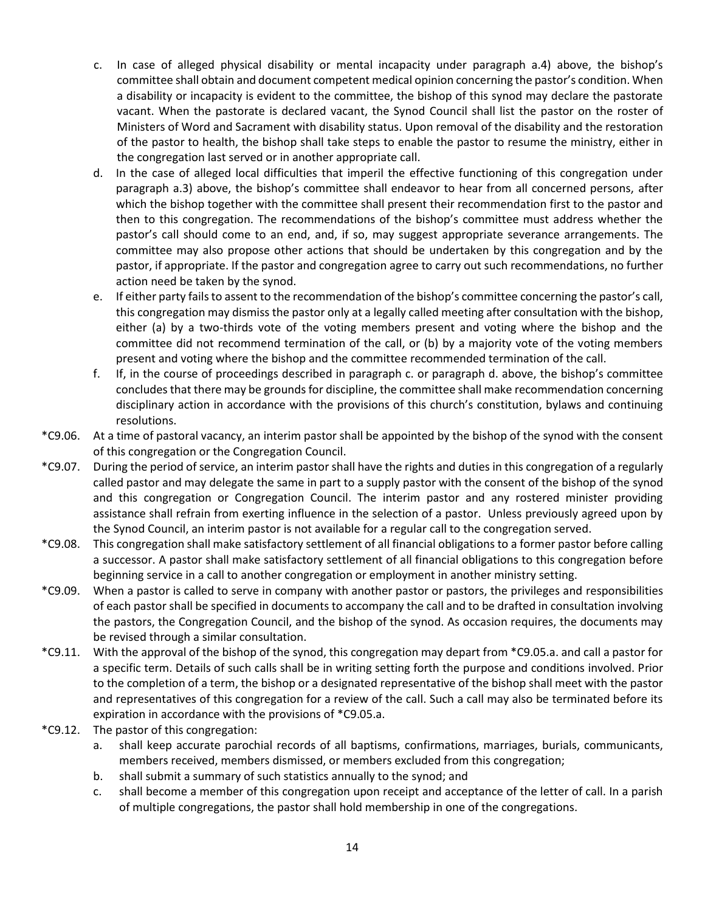- c. In case of alleged physical disability or mental incapacity under paragraph a.4) above, the bishop's committee shall obtain and document competent medical opinion concerning the pastor's condition. When a disability or incapacity is evident to the committee, the bishop of this synod may declare the pastorate vacant. When the pastorate is declared vacant, the Synod Council shall list the pastor on the roster of Ministers of Word and Sacrament with disability status. Upon removal of the disability and the restoration of the pastor to health, the bishop shall take steps to enable the pastor to resume the ministry, either in the congregation last served or in another appropriate call.
- d. In the case of alleged local difficulties that imperil the effective functioning of this congregation under paragraph a.3) above, the bishop's committee shall endeavor to hear from all concerned persons, after which the bishop together with the committee shall present their recommendation first to the pastor and then to this congregation. The recommendations of the bishop's committee must address whether the pastor's call should come to an end, and, if so, may suggest appropriate severance arrangements. The committee may also propose other actions that should be undertaken by this congregation and by the pastor, if appropriate. If the pastor and congregation agree to carry out such recommendations, no further action need be taken by the synod.
- e. If either party fails to assent to the recommendation of the bishop's committee concerning the pastor's call, this congregation may dismiss the pastor only at a legally called meeting after consultation with the bishop, either (a) by a two-thirds vote of the voting members present and voting where the bishop and the committee did not recommend termination of the call, or (b) by a majority vote of the voting members present and voting where the bishop and the committee recommended termination of the call.
- f. If, in the course of proceedings described in paragraph c. or paragraph d. above, the bishop's committee concludes that there may be grounds for discipline, the committee shall make recommendation concerning disciplinary action in accordance with the provisions of this church's constitution, bylaws and continuing resolutions.
- \*C9.06. At a time of pastoral vacancy, an interim pastor shall be appointed by the bishop of the synod with the consent of this congregation or the Congregation Council.
- \*C9.07. During the period of service, an interim pastor shall have the rights and duties in this congregation of a regularly called pastor and may delegate the same in part to a supply pastor with the consent of the bishop of the synod and this congregation or Congregation Council. The interim pastor and any rostered minister providing assistance shall refrain from exerting influence in the selection of a pastor. Unless previously agreed upon by the Synod Council, an interim pastor is not available for a regular call to the congregation served.
- \*C9.08. This congregation shall make satisfactory settlement of all financial obligations to a former pastor before calling a successor. A pastor shall make satisfactory settlement of all financial obligations to this congregation before beginning service in a call to another congregation or employment in another ministry setting.
- \*C9.09. When a pastor is called to serve in company with another pastor or pastors, the privileges and responsibilities of each pastor shall be specified in documents to accompany the call and to be drafted in consultation involving the pastors, the Congregation Council, and the bishop of the synod. As occasion requires, the documents may be revised through a similar consultation.
- \*C9.11. With the approval of the bishop of the synod, this congregation may depart from \*C9.05.a. and call a pastor for a specific term. Details of such calls shall be in writing setting forth the purpose and conditions involved. Prior to the completion of a term, the bishop or a designated representative of the bishop shall meet with the pastor and representatives of this congregation for a review of the call. Such a call may also be terminated before its expiration in accordance with the provisions of \*C9.05.a.
- \*C9.12. The pastor of this congregation:
	- a. shall keep accurate parochial records of all baptisms, confirmations, marriages, burials, communicants, members received, members dismissed, or members excluded from this congregation;
	- b. shall submit a summary of such statistics annually to the synod; and
	- c. shall become a member of this congregation upon receipt and acceptance of the letter of call. In a parish of multiple congregations, the pastor shall hold membership in one of the congregations.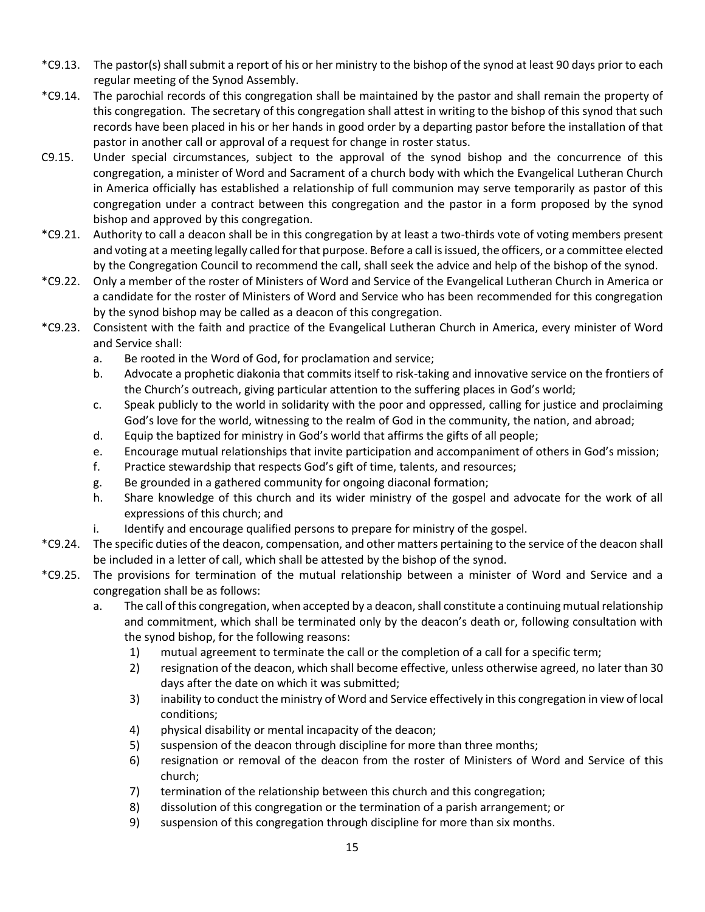- \*C9.13. The pastor(s) shall submit a report of his or her ministry to the bishop of the synod at least 90 days prior to each regular meeting of the Synod Assembly.
- \*C9.14. The parochial records of this congregation shall be maintained by the pastor and shall remain the property of this congregation. The secretary of this congregation shall attest in writing to the bishop of this synod that such records have been placed in his or her hands in good order by a departing pastor before the installation of that pastor in another call or approval of a request for change in roster status.
- C9.15. Under special circumstances, subject to the approval of the synod bishop and the concurrence of this congregation, a minister of Word and Sacrament of a church body with which the Evangelical Lutheran Church in America officially has established a relationship of full communion may serve temporarily as pastor of this congregation under a contract between this congregation and the pastor in a form proposed by the synod bishop and approved by this congregation.
- \*C9.21. Authority to call a deacon shall be in this congregation by at least a two-thirds vote of voting members present and voting at a meeting legally called for that purpose. Before a call is issued, the officers, or a committee elected by the Congregation Council to recommend the call, shall seek the advice and help of the bishop of the synod.
- \*C9.22. Only a member of the roster of Ministers of Word and Service of the Evangelical Lutheran Church in America or a candidate for the roster of Ministers of Word and Service who has been recommended for this congregation by the synod bishop may be called as a deacon of this congregation.
- \*C9.23. Consistent with the faith and practice of the Evangelical Lutheran Church in America, every minister of Word and Service shall:
	- a. Be rooted in the Word of God, for proclamation and service;
	- b. Advocate a prophetic diakonia that commits itself to risk-taking and innovative service on the frontiers of the Church's outreach, giving particular attention to the suffering places in God's world;
	- c. Speak publicly to the world in solidarity with the poor and oppressed, calling for justice and proclaiming God's love for the world, witnessing to the realm of God in the community, the nation, and abroad;
	- d. Equip the baptized for ministry in God's world that affirms the gifts of all people;
	- e. Encourage mutual relationships that invite participation and accompaniment of others in God's mission;
	- f. Practice stewardship that respects God's gift of time, talents, and resources;
	- g. Be grounded in a gathered community for ongoing diaconal formation;
	- h. Share knowledge of this church and its wider ministry of the gospel and advocate for the work of all expressions of this church; and
	- i. Identify and encourage qualified persons to prepare for ministry of the gospel.
- \*C9.24. The specific duties of the deacon, compensation, and other matters pertaining to the service of the deacon shall be included in a letter of call, which shall be attested by the bishop of the synod.
- \*C9.25. The provisions for termination of the mutual relationship between a minister of Word and Service and a congregation shall be as follows:
	- a. The call of this congregation, when accepted by a deacon, shall constitute a continuing mutual relationship and commitment, which shall be terminated only by the deacon's death or, following consultation with the synod bishop, for the following reasons:
		- 1) mutual agreement to terminate the call or the completion of a call for a specific term;
		- 2) resignation of the deacon, which shall become effective, unless otherwise agreed, no later than 30 days after the date on which it was submitted;
		- 3) inability to conduct the ministry of Word and Service effectively in this congregation in view of local conditions;
		- 4) physical disability or mental incapacity of the deacon;
		- 5) suspension of the deacon through discipline for more than three months;
		- 6) resignation or removal of the deacon from the roster of Ministers of Word and Service of this church;
		- 7) termination of the relationship between this church and this congregation;
		- 8) dissolution of this congregation or the termination of a parish arrangement; or
		- 9) suspension of this congregation through discipline for more than six months.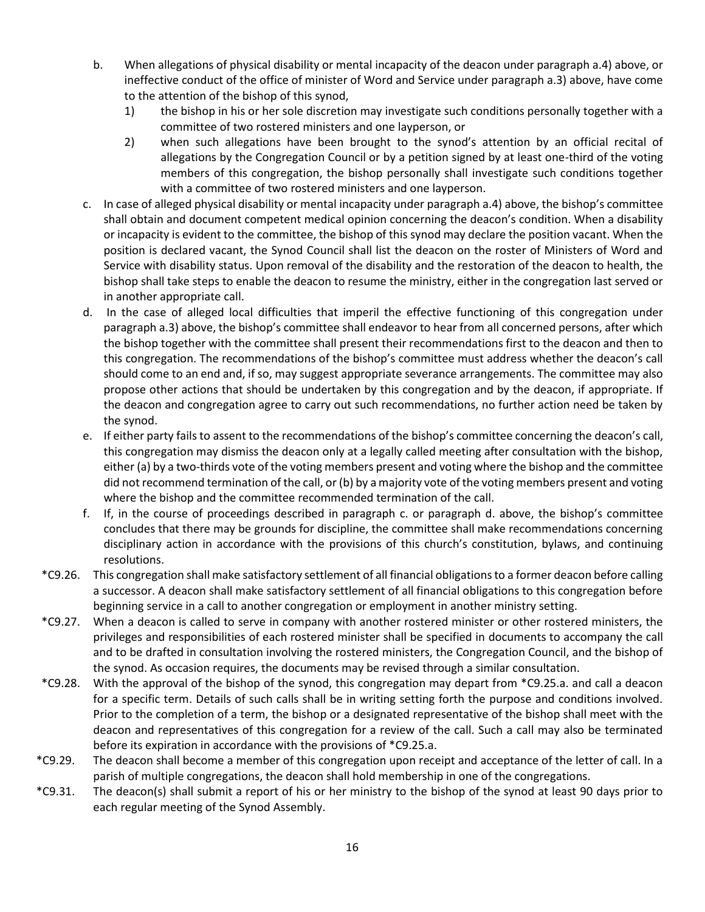- b. When allegations of physical disability or mental incapacity of the deacon under paragraph a.4) above, or ineffective conduct of the office of minister of Word and Service under paragraph a.3) above, have come to the attention of the bishop of this synod,
	- 1) the bishop in his or her sole discretion may investigate such conditions personally together with a committee of two rostered ministers and one layperson, or
	- 2) when such allegations have been brought to the synod's attention by an official recital of allegations by the Congregation Council or by a petition signed by at least one-third of the voting members of this congregation, the bishop personally shall investigate such conditions together with a committee of two rostered ministers and one layperson.
- c. In case of alleged physical disability or mental incapacity under paragraph a.4) above, the bishop's committee shall obtain and document competent medical opinion concerning the deacon's condition. When a disability or incapacity is evident to the committee, the bishop of this synod may declare the position vacant. When the position is declared vacant, the Synod Council shall list the deacon on the roster of Ministers of Word and Service with disability status. Upon removal of the disability and the restoration of the deacon to health, the bishop shall take steps to enable the deacon to resume the ministry, either in the congregation last served or in another appropriate call.
- d. In the case of alleged local difficulties that imperil the effective functioning of this congregation under paragraph a.3) above, the bishop's committee shall endeavor to hear from all concerned persons, after which the bishop together with the committee shall present their recommendations first to the deacon and then to this congregation. The recommendations of the bishop's committee must address whether the deacon's call should come to an end and, if so, may suggest appropriate severance arrangements. The committee may also propose other actions that should be undertaken by this congregation and by the deacon, if appropriate. If the deacon and congregation agree to carry out such recommendations, no further action need be taken by the synod.
- e. If either party fails to assent to the recommendations of the bishop's committee concerning the deacon's call, this congregation may dismiss the deacon only at a legally called meeting after consultation with the bishop, either (a) by a two-thirds vote of the voting members present and voting where the bishop and the committee did not recommend termination of the call, or (b) by a majority vote of the voting members present and voting where the bishop and the committee recommended termination of the call.
- f. If, in the course of proceedings described in paragraph c. or paragraph d. above, the bishop's committee concludes that there may be grounds for discipline, the committee shall make recommendations concerning disciplinary action in accordance with the provisions of this church's constitution, bylaws, and continuing resolutions.
- \*C9.26. This congregation shall make satisfactory settlement of all financial obligations to a former deacon before calling a successor. A deacon shall make satisfactory settlement of all financial obligations to this congregation before beginning service in a call to another congregation or employment in another ministry setting.
- \*C9.27. When a deacon is called to serve in company with another rostered minister or other rostered ministers, the privileges and responsibilities of each rostered minister shall be specified in documents to accompany the call and to be drafted in consultation involving the rostered ministers, the Congregation Council, and the bishop of the synod. As occasion requires, the documents may be revised through a similar consultation.
- \*C9.28. With the approval of the bishop of the synod, this congregation may depart from \*C9.25.a. and call a deacon for a specific term. Details of such calls shall be in writing setting forth the purpose and conditions involved. Prior to the completion of a term, the bishop or a designated representative of the bishop shall meet with the deacon and representatives of this congregation for a review of the call. Such a call may also be terminated before its expiration in accordance with the provisions of \*C9.25.a.
- \*C9.29. The deacon shall become a member of this congregation upon receipt and acceptance of the letter of call. In a parish of multiple congregations, the deacon shall hold membership in one of the congregations.
- \*C9.31. The deacon(s) shall submit a report of his or her ministry to the bishop of the synod at least 90 days prior to each regular meeting of the Synod Assembly.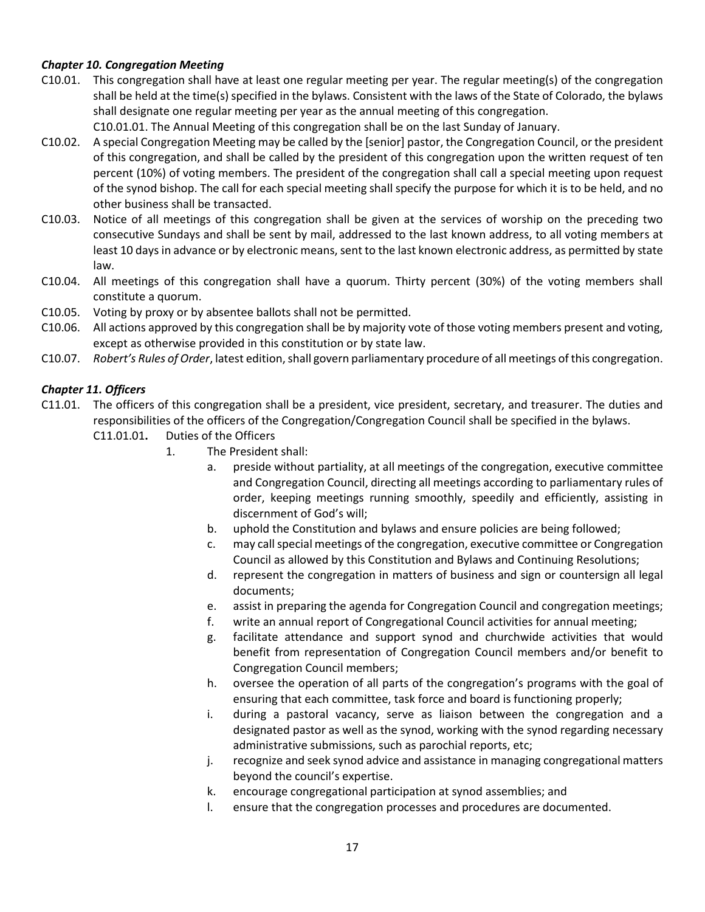## *Chapter 10. Congregation Meeting*

- C10.01. This congregation shall have at least one regular meeting per year. The regular meeting(s) of the congregation shall be held at the time(s) specified in the bylaws. Consistent with the laws of the State of Colorado, the bylaws shall designate one regular meeting per year as the annual meeting of this congregation.
	- C10.01.01. The Annual Meeting of this congregation shall be on the last Sunday of January.
- C10.02. A special Congregation Meeting may be called by the [senior] pastor, the Congregation Council, or the president of this congregation, and shall be called by the president of this congregation upon the written request of ten percent (10%) of voting members. The president of the congregation shall call a special meeting upon request of the synod bishop. The call for each special meeting shall specify the purpose for which it is to be held, and no other business shall be transacted.
- C10.03. Notice of all meetings of this congregation shall be given at the services of worship on the preceding two consecutive Sundays and shall be sent by mail, addressed to the last known address, to all voting members at least 10 days in advance or by electronic means, sent to the last known electronic address, as permitted by state law.
- C10.04. All meetings of this congregation shall have a quorum. Thirty percent (30%) of the voting members shall constitute a quorum.
- C10.05. Voting by proxy or by absentee ballots shall not be permitted.
- C10.06. All actions approved by this congregation shall be by majority vote of those voting members present and voting, except as otherwise provided in this constitution or by state law.
- C10.07. *Robert's Rules of Order*, latest edition, shall govern parliamentary procedure of all meetings of this congregation.

## *Chapter 11. Officers*

- C11.01. The officers of this congregation shall be a president, vice president, secretary, and treasurer. The duties and responsibilities of the officers of the Congregation/Congregation Council shall be specified in the bylaws. C11.01.01**.** Duties of the Officers
	- 1. The President shall:
		- a. preside without partiality, at all meetings of the congregation, executive committee and Congregation Council, directing all meetings according to parliamentary rules of order, keeping meetings running smoothly, speedily and efficiently, assisting in discernment of God's will;
		- b. uphold the Constitution and bylaws and ensure policies are being followed;
		- c. may call special meetings of the congregation, executive committee or Congregation Council as allowed by this Constitution and Bylaws and Continuing Resolutions;
		- d. represent the congregation in matters of business and sign or countersign all legal documents;
		- e. assist in preparing the agenda for Congregation Council and congregation meetings;
		- f. write an annual report of Congregational Council activities for annual meeting;
		- g. facilitate attendance and support synod and churchwide activities that would benefit from representation of Congregation Council members and/or benefit to Congregation Council members;
		- h. oversee the operation of all parts of the congregation's programs with the goal of ensuring that each committee, task force and board is functioning properly;
		- i. during a pastoral vacancy, serve as liaison between the congregation and a designated pastor as well as the synod, working with the synod regarding necessary administrative submissions, such as parochial reports, etc;
		- j. recognize and seek synod advice and assistance in managing congregational matters beyond the council's expertise.
		- k. encourage congregational participation at synod assemblies; and
		- l. ensure that the congregation processes and procedures are documented.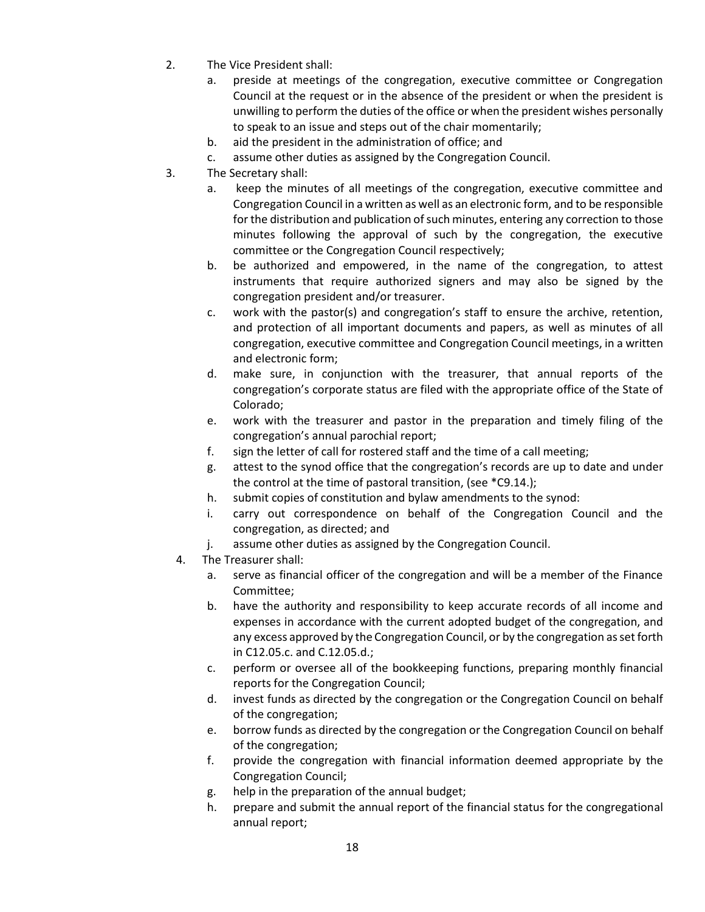- 2. The Vice President shall:
	- a. preside at meetings of the congregation, executive committee or Congregation Council at the request or in the absence of the president or when the president is unwilling to perform the duties of the office or when the president wishes personally to speak to an issue and steps out of the chair momentarily;
	- b. aid the president in the administration of office; and
	- c. assume other duties as assigned by the Congregation Council.
- 3. The Secretary shall:
	- a. keep the minutes of all meetings of the congregation, executive committee and Congregation Council in a written as well as an electronic form, and to be responsible for the distribution and publication of such minutes, entering any correction to those minutes following the approval of such by the congregation, the executive committee or the Congregation Council respectively;
	- b. be authorized and empowered, in the name of the congregation, to attest instruments that require authorized signers and may also be signed by the congregation president and/or treasurer.
	- c. work with the pastor(s) and congregation's staff to ensure the archive, retention, and protection of all important documents and papers, as well as minutes of all congregation, executive committee and Congregation Council meetings, in a written and electronic form;
	- d. make sure, in conjunction with the treasurer, that annual reports of the congregation's corporate status are filed with the appropriate office of the State of Colorado;
	- e. work with the treasurer and pastor in the preparation and timely filing of the congregation's annual parochial report;
	- f. sign the letter of call for rostered staff and the time of a call meeting;
	- g. attest to the synod office that the congregation's records are up to date and under the control at the time of pastoral transition, (see \*C9.14.);
	- h. submit copies of constitution and bylaw amendments to the synod:
	- i. carry out correspondence on behalf of the Congregation Council and the congregation, as directed; and
	- j. assume other duties as assigned by the Congregation Council.
	- 4. The Treasurer shall:
		- a. serve as financial officer of the congregation and will be a member of the Finance Committee;
		- b. have the authority and responsibility to keep accurate records of all income and expenses in accordance with the current adopted budget of the congregation, and any excess approved by the Congregation Council, or by the congregation as set forth in C12.05.c. and C.12.05.d.;
		- c. perform or oversee all of the bookkeeping functions, preparing monthly financial reports for the Congregation Council;
		- d. invest funds as directed by the congregation or the Congregation Council on behalf of the congregation;
		- e. borrow funds as directed by the congregation or the Congregation Council on behalf of the congregation;
		- f. provide the congregation with financial information deemed appropriate by the Congregation Council;
		- g. help in the preparation of the annual budget;
		- h. prepare and submit the annual report of the financial status for the congregational annual report;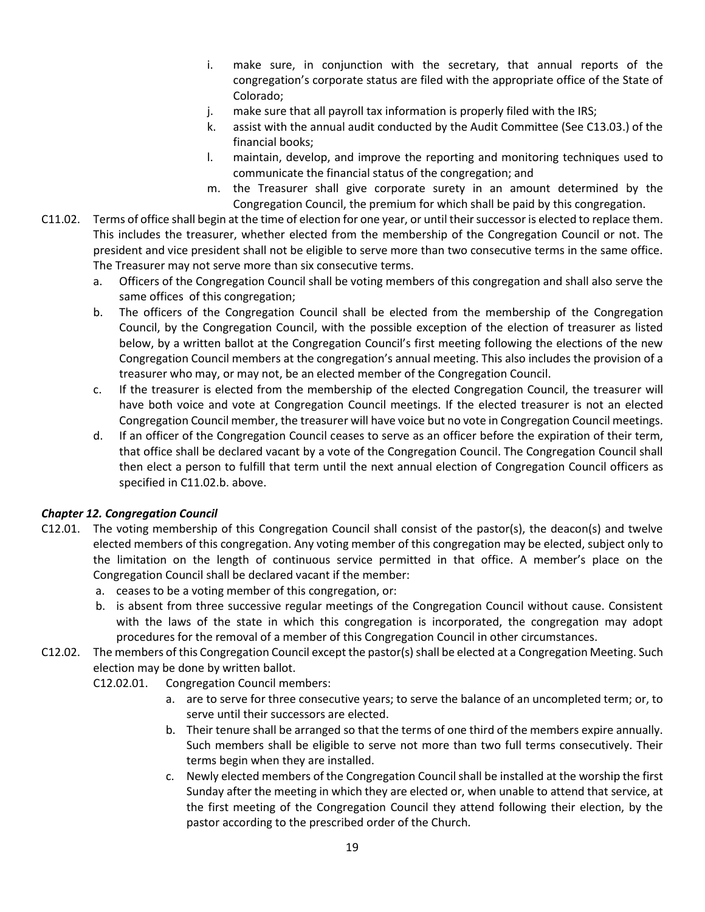- i. make sure, in conjunction with the secretary, that annual reports of the congregation's corporate status are filed with the appropriate office of the State of Colorado;
- j. make sure that all payroll tax information is properly filed with the IRS;
- k. assist with the annual audit conducted by the Audit Committee (See C13.03.) of the financial books;
- l. maintain, develop, and improve the reporting and monitoring techniques used to communicate the financial status of the congregation; and
- m. the Treasurer shall give corporate surety in an amount determined by the Congregation Council, the premium for which shall be paid by this congregation.
- C11.02. Terms of office shall begin at the time of election for one year, or until their successor is elected to replace them. This includes the treasurer, whether elected from the membership of the Congregation Council or not. The president and vice president shall not be eligible to serve more than two consecutive terms in the same office. The Treasurer may not serve more than six consecutive terms.
	- a. Officers of the Congregation Council shall be voting members of this congregation and shall also serve the same offices of this congregation;
	- b. The officers of the Congregation Council shall be elected from the membership of the Congregation Council, by the Congregation Council, with the possible exception of the election of treasurer as listed below, by a written ballot at the Congregation Council's first meeting following the elections of the new Congregation Council members at the congregation's annual meeting. This also includes the provision of a treasurer who may, or may not, be an elected member of the Congregation Council.
	- c. If the treasurer is elected from the membership of the elected Congregation Council, the treasurer will have both voice and vote at Congregation Council meetings. If the elected treasurer is not an elected Congregation Council member, the treasurer will have voice but no vote in Congregation Council meetings.
	- d. If an officer of the Congregation Council ceases to serve as an officer before the expiration of their term, that office shall be declared vacant by a vote of the Congregation Council. The Congregation Council shall then elect a person to fulfill that term until the next annual election of Congregation Council officers as specified in C11.02.b. above.

# *Chapter 12. Congregation Council*

- C12.01. The voting membership of this Congregation Council shall consist of the pastor(s), the deacon(s) and twelve elected members of this congregation. Any voting member of this congregation may be elected, subject only to the limitation on the length of continuous service permitted in that office. A member's place on the Congregation Council shall be declared vacant if the member:
	- a. ceases to be a voting member of this congregation, or:
	- b. is absent from three successive regular meetings of the Congregation Council without cause. Consistent with the laws of the state in which this congregation is incorporated, the congregation may adopt procedures for the removal of a member of this Congregation Council in other circumstances.
- C12.02. The members of this Congregation Council except the pastor(s) shall be elected at a Congregation Meeting. Such election may be done by written ballot.
	- C12.02.01. Congregation Council members:
		- a. are to serve for three consecutive years; to serve the balance of an uncompleted term; or, to serve until their successors are elected.
		- b. Their tenure shall be arranged so that the terms of one third of the members expire annually. Such members shall be eligible to serve not more than two full terms consecutively. Their terms begin when they are installed.
		- c. Newly elected members of the Congregation Council shall be installed at the worship the first Sunday after the meeting in which they are elected or, when unable to attend that service, at the first meeting of the Congregation Council they attend following their election, by the pastor according to the prescribed order of the Church.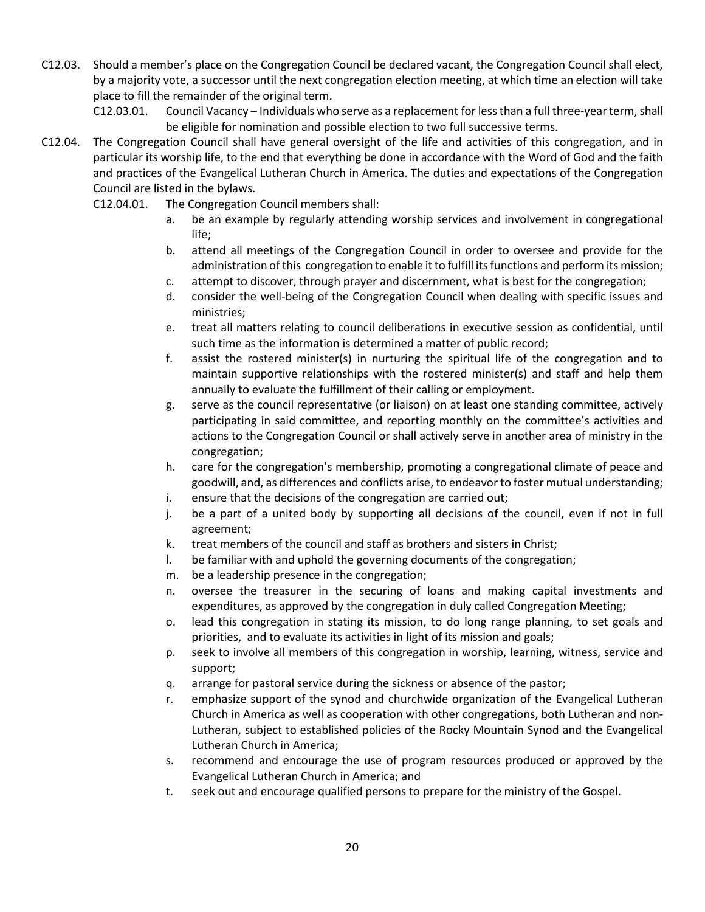C12.03. Should a member's place on the Congregation Council be declared vacant, the Congregation Council shall elect, by a majority vote, a successor until the next congregation election meeting, at which time an election will take place to fill the remainder of the original term.

C12.03.01. Council Vacancy – Individuals who serve as a replacement for less than a full three-year term, shall be eligible for nomination and possible election to two full successive terms.

- C12.04. The Congregation Council shall have general oversight of the life and activities of this congregation, and in particular its worship life, to the end that everything be done in accordance with the Word of God and the faith and practices of the Evangelical Lutheran Church in America. The duties and expectations of the Congregation Council are listed in the bylaws.
	- C12.04.01. The Congregation Council members shall:
		- a. be an example by regularly attending worship services and involvement in congregational life;
		- b. attend all meetings of the Congregation Council in order to oversee and provide for the administration of this congregation to enable it to fulfill its functions and perform its mission;
		- c. attempt to discover, through prayer and discernment, what is best for the congregation;
		- d. consider the well-being of the Congregation Council when dealing with specific issues and ministries;
		- e. treat all matters relating to council deliberations in executive session as confidential, until such time as the information is determined a matter of public record;
		- f. assist the rostered minister(s) in nurturing the spiritual life of the congregation and to maintain supportive relationships with the rostered minister(s) and staff and help them annually to evaluate the fulfillment of their calling or employment.
		- g. serve as the council representative (or liaison) on at least one standing committee, actively participating in said committee, and reporting monthly on the committee's activities and actions to the Congregation Council or shall actively serve in another area of ministry in the congregation;
		- h. care for the congregation's membership, promoting a congregational climate of peace and goodwill, and, as differences and conflicts arise, to endeavor to foster mutual understanding;
		- i. ensure that the decisions of the congregation are carried out;
		- j. be a part of a united body by supporting all decisions of the council, even if not in full agreement;
		- k. treat members of the council and staff as brothers and sisters in Christ;
		- l. be familiar with and uphold the governing documents of the congregation;
		- m. be a leadership presence in the congregation;
		- n. oversee the treasurer in the securing of loans and making capital investments and expenditures, as approved by the congregation in duly called Congregation Meeting;
		- o. lead this congregation in stating its mission, to do long range planning, to set goals and priorities, and to evaluate its activities in light of its mission and goals;
		- p. seek to involve all members of this congregation in worship, learning, witness, service and support;
		- q. arrange for pastoral service during the sickness or absence of the pastor;
		- r. emphasize support of the synod and churchwide organization of the Evangelical Lutheran Church in America as well as cooperation with other congregations, both Lutheran and non-Lutheran, subject to established policies of the Rocky Mountain Synod and the Evangelical Lutheran Church in America;
		- s. recommend and encourage the use of program resources produced or approved by the Evangelical Lutheran Church in America; and
		- t. seek out and encourage qualified persons to prepare for the ministry of the Gospel.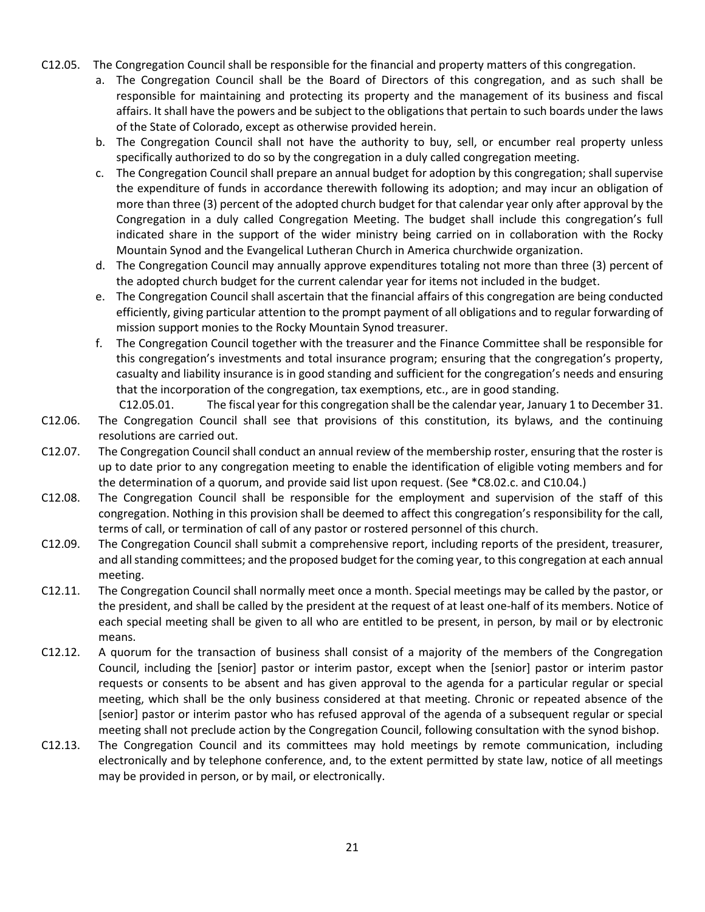- C12.05. The Congregation Council shall be responsible for the financial and property matters of this congregation.
	- a. The Congregation Council shall be the Board of Directors of this congregation, and as such shall be responsible for maintaining and protecting its property and the management of its business and fiscal affairs. It shall have the powers and be subject to the obligationsthat pertain to such boards under the laws of the State of Colorado, except as otherwise provided herein.
	- b. The Congregation Council shall not have the authority to buy, sell, or encumber real property unless specifically authorized to do so by the congregation in a duly called congregation meeting.
	- c. The Congregation Council shall prepare an annual budget for adoption by this congregation; shall supervise the expenditure of funds in accordance therewith following its adoption; and may incur an obligation of more than three (3) percent of the adopted church budget for that calendar year only after approval by the Congregation in a duly called Congregation Meeting. The budget shall include this congregation's full indicated share in the support of the wider ministry being carried on in collaboration with the Rocky Mountain Synod and the Evangelical Lutheran Church in America churchwide organization.
	- d. The Congregation Council may annually approve expenditures totaling not more than three (3) percent of the adopted church budget for the current calendar year for items not included in the budget.
	- e. The Congregation Council shall ascertain that the financial affairs of this congregation are being conducted efficiently, giving particular attention to the prompt payment of all obligations and to regular forwarding of mission support monies to the Rocky Mountain Synod treasurer.
	- f. The Congregation Council together with the treasurer and the Finance Committee shall be responsible for this congregation's investments and total insurance program; ensuring that the congregation's property, casualty and liability insurance is in good standing and sufficient for the congregation's needs and ensuring that the incorporation of the congregation, tax exemptions, etc., are in good standing.
- C12.05.01. The fiscal year for this congregation shall be the calendar year, January 1 to December 31. C12.06. The Congregation Council shall see that provisions of this constitution, its bylaws, and the continuing resolutions are carried out.
- C12.07. The Congregation Council shall conduct an annual review of the membership roster, ensuring that the roster is up to date prior to any congregation meeting to enable the identification of eligible voting members and for the determination of a quorum, and provide said list upon request. (See \*C8.02.c. and C10.04.)
- C12.08. The Congregation Council shall be responsible for the employment and supervision of the staff of this congregation. Nothing in this provision shall be deemed to affect this congregation's responsibility for the call, terms of call, or termination of call of any pastor or rostered personnel of this church.
- C12.09. The Congregation Council shall submit a comprehensive report, including reports of the president, treasurer, and all standing committees; and the proposed budget for the coming year, to this congregation at each annual meeting.
- C12.11. The Congregation Council shall normally meet once a month. Special meetings may be called by the pastor, or the president, and shall be called by the president at the request of at least one-half of its members. Notice of each special meeting shall be given to all who are entitled to be present, in person, by mail or by electronic means.
- C12.12. A quorum for the transaction of business shall consist of a majority of the members of the Congregation Council, including the [senior] pastor or interim pastor, except when the [senior] pastor or interim pastor requests or consents to be absent and has given approval to the agenda for a particular regular or special meeting, which shall be the only business considered at that meeting. Chronic or repeated absence of the [senior] pastor or interim pastor who has refused approval of the agenda of a subsequent regular or special meeting shall not preclude action by the Congregation Council, following consultation with the synod bishop.
- C12.13. The Congregation Council and its committees may hold meetings by remote communication, including electronically and by telephone conference, and, to the extent permitted by state law, notice of all meetings may be provided in person, or by mail, or electronically.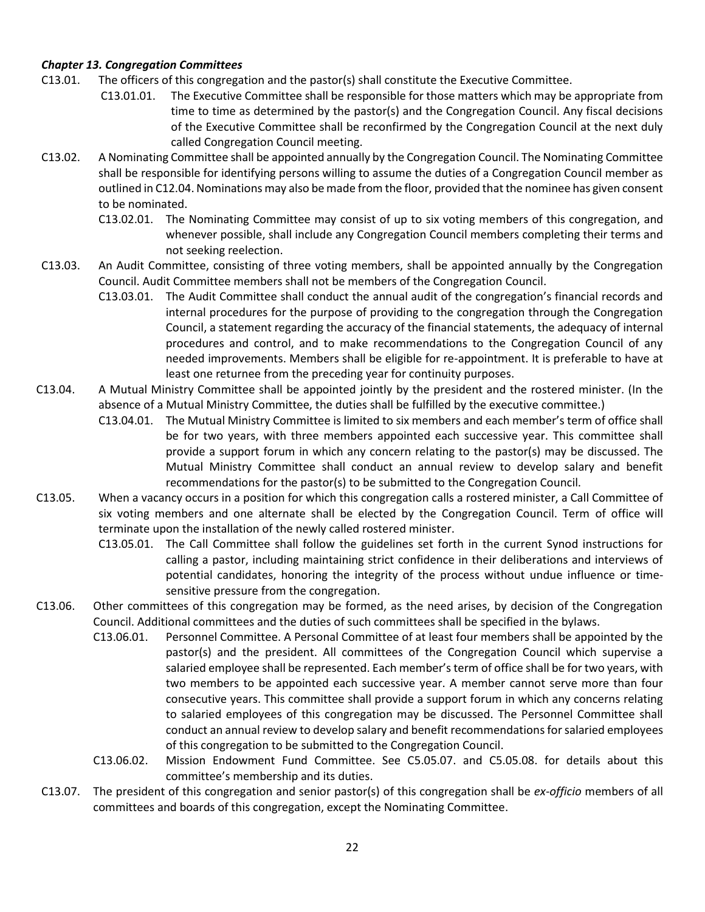## *Chapter 13. Congregation Committees*

- C13.01. The officers of this congregation and the pastor(s) shall constitute the Executive Committee.
	- C13.01.01. The Executive Committee shall be responsible for those matters which may be appropriate from time to time as determined by the pastor(s) and the Congregation Council. Any fiscal decisions of the Executive Committee shall be reconfirmed by the Congregation Council at the next duly called Congregation Council meeting.
- C13.02. A Nominating Committee shall be appointed annually by the Congregation Council. The Nominating Committee shall be responsible for identifying persons willing to assume the duties of a Congregation Council member as outlined in C12.04. Nominations may also be made from the floor, provided that the nominee has given consent to be nominated.
	- C13.02.01. The Nominating Committee may consist of up to six voting members of this congregation, and whenever possible, shall include any Congregation Council members completing their terms and not seeking reelection.
- C13.03. An Audit Committee, consisting of three voting members, shall be appointed annually by the Congregation Council. Audit Committee members shall not be members of the Congregation Council.
	- C13.03.01. The Audit Committee shall conduct the annual audit of the congregation's financial records and internal procedures for the purpose of providing to the congregation through the Congregation Council, a statement regarding the accuracy of the financial statements, the adequacy of internal procedures and control, and to make recommendations to the Congregation Council of any needed improvements. Members shall be eligible for re-appointment. It is preferable to have at least one returnee from the preceding year for continuity purposes.
- C13.04. A Mutual Ministry Committee shall be appointed jointly by the president and the rostered minister. (In the absence of a Mutual Ministry Committee, the duties shall be fulfilled by the executive committee.)
	- C13.04.01. The Mutual Ministry Committee is limited to six members and each member's term of office shall be for two years, with three members appointed each successive year. This committee shall provide a support forum in which any concern relating to the pastor(s) may be discussed. The Mutual Ministry Committee shall conduct an annual review to develop salary and benefit recommendations for the pastor(s) to be submitted to the Congregation Council.
- C13.05. When a vacancy occurs in a position for which this congregation calls a rostered minister, a Call Committee of six voting members and one alternate shall be elected by the Congregation Council. Term of office will terminate upon the installation of the newly called rostered minister.
	- C13.05.01. The Call Committee shall follow the guidelines set forth in the current Synod instructions for calling a pastor, including maintaining strict confidence in their deliberations and interviews of potential candidates, honoring the integrity of the process without undue influence or timesensitive pressure from the congregation.
- C13.06. Other committees of this congregation may be formed, as the need arises, by decision of the Congregation Council. Additional committees and the duties of such committees shall be specified in the bylaws.
	- C13.06.01. Personnel Committee. A Personal Committee of at least four members shall be appointed by the pastor(s) and the president. All committees of the Congregation Council which supervise a salaried employee shall be represented. Each member's term of office shall be for two years, with two members to be appointed each successive year. A member cannot serve more than four consecutive years. This committee shall provide a support forum in which any concerns relating to salaried employees of this congregation may be discussed. The Personnel Committee shall conduct an annual review to develop salary and benefit recommendationsfor salaried employees of this congregation to be submitted to the Congregation Council.
	- C13.06.02. Mission Endowment Fund Committee. See C5.05.07. and C5.05.08. for details about this committee's membership and its duties.
- C13.07. The president of this congregation and senior pastor(s) of this congregation shall be *ex-officio* members of all committees and boards of this congregation, except the Nominating Committee.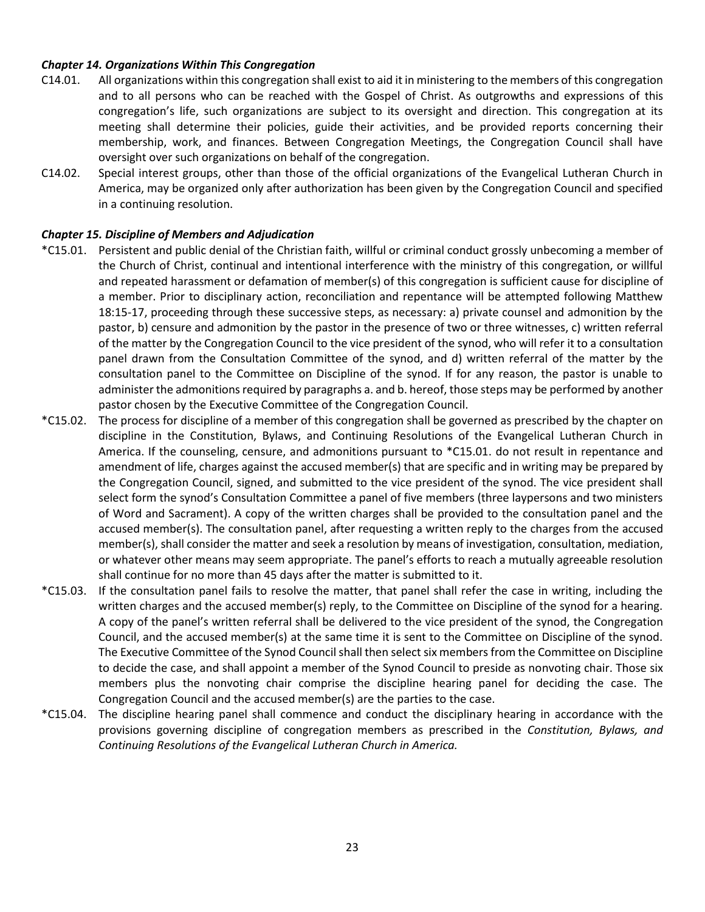## *Chapter 14. Organizations Within This Congregation*

- C14.01. All organizations within this congregation shall exist to aid it in ministering to the members of this congregation and to all persons who can be reached with the Gospel of Christ. As outgrowths and expressions of this congregation's life, such organizations are subject to its oversight and direction. This congregation at its meeting shall determine their policies, guide their activities, and be provided reports concerning their membership, work, and finances. Between Congregation Meetings, the Congregation Council shall have oversight over such organizations on behalf of the congregation.
- C14.02. Special interest groups, other than those of the official organizations of the Evangelical Lutheran Church in America, may be organized only after authorization has been given by the Congregation Council and specified in a continuing resolution.

## *Chapter 15. Discipline of Members and Adjudication*

- \*C15.01. Persistent and public denial of the Christian faith, willful or criminal conduct grossly unbecoming a member of the Church of Christ, continual and intentional interference with the ministry of this congregation, or willful and repeated harassment or defamation of member(s) of this congregation is sufficient cause for discipline of a member. Prior to disciplinary action, reconciliation and repentance will be attempted following Matthew 18:15-17, proceeding through these successive steps, as necessary: a) private counsel and admonition by the pastor, b) censure and admonition by the pastor in the presence of two or three witnesses, c) written referral of the matter by the Congregation Council to the vice president of the synod, who will refer it to a consultation panel drawn from the Consultation Committee of the synod, and d) written referral of the matter by the consultation panel to the Committee on Discipline of the synod. If for any reason, the pastor is unable to administer the admonitions required by paragraphs a. and b. hereof, those steps may be performed by another pastor chosen by the Executive Committee of the Congregation Council.
- \*C15.02. The process for discipline of a member of this congregation shall be governed as prescribed by the chapter on discipline in the Constitution, Bylaws, and Continuing Resolutions of the Evangelical Lutheran Church in America. If the counseling, censure, and admonitions pursuant to \*C15.01. do not result in repentance and amendment of life, charges against the accused member(s) that are specific and in writing may be prepared by the Congregation Council, signed, and submitted to the vice president of the synod. The vice president shall select form the synod's Consultation Committee a panel of five members (three laypersons and two ministers of Word and Sacrament). A copy of the written charges shall be provided to the consultation panel and the accused member(s). The consultation panel, after requesting a written reply to the charges from the accused member(s), shall consider the matter and seek a resolution by means of investigation, consultation, mediation, or whatever other means may seem appropriate. The panel's efforts to reach a mutually agreeable resolution shall continue for no more than 45 days after the matter is submitted to it.
- \*C15.03. If the consultation panel fails to resolve the matter, that panel shall refer the case in writing, including the written charges and the accused member(s) reply, to the Committee on Discipline of the synod for a hearing. A copy of the panel's written referral shall be delivered to the vice president of the synod, the Congregation Council, and the accused member(s) at the same time it is sent to the Committee on Discipline of the synod. The Executive Committee of the Synod Council shall then select six members from the Committee on Discipline to decide the case, and shall appoint a member of the Synod Council to preside as nonvoting chair. Those six members plus the nonvoting chair comprise the discipline hearing panel for deciding the case. The Congregation Council and the accused member(s) are the parties to the case.
- \*C15.04. The discipline hearing panel shall commence and conduct the disciplinary hearing in accordance with the provisions governing discipline of congregation members as prescribed in the *Constitution, Bylaws, and Continuing Resolutions of the Evangelical Lutheran Church in America.*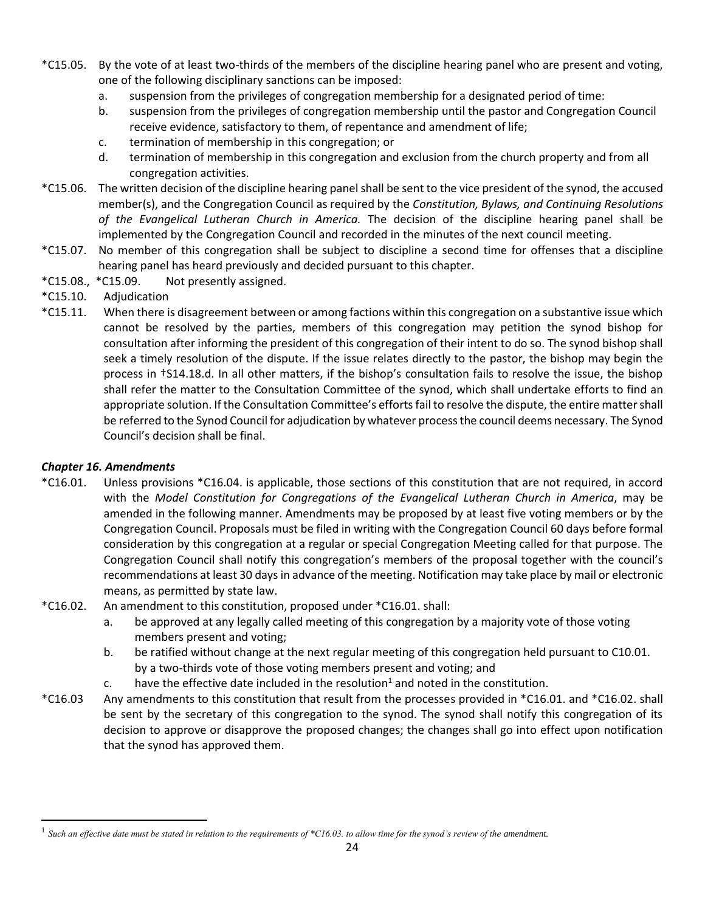- \*C15.05. By the vote of at least two-thirds of the members of the discipline hearing panel who are present and voting, one of the following disciplinary sanctions can be imposed:
	- a. suspension from the privileges of congregation membership for a designated period of time:
	- b. suspension from the privileges of congregation membership until the pastor and Congregation Council receive evidence, satisfactory to them, of repentance and amendment of life;
	- c. termination of membership in this congregation; or
	- d. termination of membership in this congregation and exclusion from the church property and from all congregation activities.
- \*C15.06. The written decision of the discipline hearing panel shall be sent to the vice president of the synod, the accused member(s), and the Congregation Council as required by the *Constitution, Bylaws, and Continuing Resolutions of the Evangelical Lutheran Church in America.* The decision of the discipline hearing panel shall be implemented by the Congregation Council and recorded in the minutes of the next council meeting.
- \*C15.07. No member of this congregation shall be subject to discipline a second time for offenses that a discipline hearing panel has heard previously and decided pursuant to this chapter.
- \*C15.08., \*C15.09. Not presently assigned.
- \*C15.10. Adjudication
- \*C15.11. When there is disagreement between or among factions within this congregation on a substantive issue which cannot be resolved by the parties, members of this congregation may petition the synod bishop for consultation after informing the president of this congregation of their intent to do so. The synod bishop shall seek a timely resolution of the dispute. If the issue relates directly to the pastor, the bishop may begin the process in †S14.18.d. In all other matters, if the bishop's consultation fails to resolve the issue, the bishop shall refer the matter to the Consultation Committee of the synod, which shall undertake efforts to find an appropriate solution. If the Consultation Committee's efforts fail to resolve the dispute, the entire matter shall be referred to the Synod Council for adjudication by whatever process the council deems necessary. The Synod Council's decision shall be final.

# *Chapter 16. Amendments*

 $\overline{\phantom{a}}$ 

- \*C16.01. Unless provisions \*C16.04. is applicable, those sections of this constitution that are not required, in accord with the *Model Constitution for Congregations of the Evangelical Lutheran Church in America*, may be amended in the following manner. Amendments may be proposed by at least five voting members or by the Congregation Council. Proposals must be filed in writing with the Congregation Council 60 days before formal consideration by this congregation at a regular or special Congregation Meeting called for that purpose. The Congregation Council shall notify this congregation's members of the proposal together with the council's recommendations at least 30 days in advance of the meeting. Notification may take place by mail or electronic means, as permitted by state law.
- \*C16.02. An amendment to this constitution, proposed under \*C16.01. shall:
	- a. be approved at any legally called meeting of this congregation by a majority vote of those voting members present and voting;
	- b. be ratified without change at the next regular meeting of this congregation held pursuant to C10.01. by a two-thirds vote of those voting members present and voting; and
	- c. have the effective date included in the resolution<sup>1</sup> and noted in the constitution.
- \*C16.03 Any amendments to this constitution that result from the processes provided in \*C16.01. and \*C16.02. shall be sent by the secretary of this congregation to the synod. The synod shall notify this congregation of its decision to approve or disapprove the proposed changes; the changes shall go into effect upon notification that the synod has approved them.

<sup>1</sup> *Such an effective date must be stated in relation to the requirements of \*C16.03. to allow time for the synod's review of the amendment.*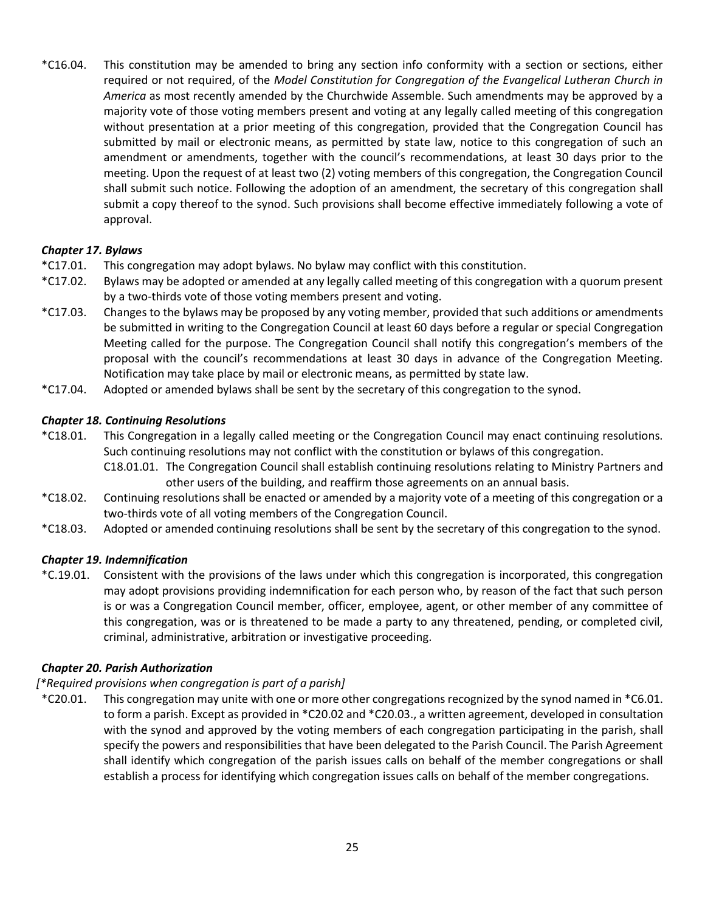\*C16.04. This constitution may be amended to bring any section info conformity with a section or sections, either required or not required, of the *Model Constitution for Congregation of the Evangelical Lutheran Church in America* as most recently amended by the Churchwide Assemble. Such amendments may be approved by a majority vote of those voting members present and voting at any legally called meeting of this congregation without presentation at a prior meeting of this congregation, provided that the Congregation Council has submitted by mail or electronic means, as permitted by state law, notice to this congregation of such an amendment or amendments, together with the council's recommendations, at least 30 days prior to the meeting. Upon the request of at least two (2) voting members of this congregation, the Congregation Council shall submit such notice. Following the adoption of an amendment, the secretary of this congregation shall submit a copy thereof to the synod. Such provisions shall become effective immediately following a vote of approval.

## *Chapter 17. Bylaws*

- \*C17.01. This congregation may adopt bylaws. No bylaw may conflict with this constitution.
- \*C17.02. Bylaws may be adopted or amended at any legally called meeting of this congregation with a quorum present by a two-thirds vote of those voting members present and voting.
- \*C17.03. Changes to the bylaws may be proposed by any voting member, provided that such additions or amendments be submitted in writing to the Congregation Council at least 60 days before a regular or special Congregation Meeting called for the purpose. The Congregation Council shall notify this congregation's members of the proposal with the council's recommendations at least 30 days in advance of the Congregation Meeting. Notification may take place by mail or electronic means, as permitted by state law.
- \*C17.04. Adopted or amended bylaws shall be sent by the secretary of this congregation to the synod.

## *Chapter 18. Continuing Resolutions*

- \*C18.01. This Congregation in a legally called meeting or the Congregation Council may enact continuing resolutions. Such continuing resolutions may not conflict with the constitution or bylaws of this congregation.
	- C18.01.01. The Congregation Council shall establish continuing resolutions relating to Ministry Partners and other users of the building, and reaffirm those agreements on an annual basis.
- \*C18.02. Continuing resolutions shall be enacted or amended by a majority vote of a meeting of this congregation or a two-thirds vote of all voting members of the Congregation Council.
- \*C18.03. Adopted or amended continuing resolutions shall be sent by the secretary of this congregation to the synod.

## *Chapter 19. Indemnification*

\*C.19.01. Consistent with the provisions of the laws under which this congregation is incorporated, this congregation may adopt provisions providing indemnification for each person who, by reason of the fact that such person is or was a Congregation Council member, officer, employee, agent, or other member of any committee of this congregation, was or is threatened to be made a party to any threatened, pending, or completed civil, criminal, administrative, arbitration or investigative proceeding.

## *Chapter 20. Parish Authorization*

## *[\*Required provisions when congregation is part of a parish]*

\*C20.01. This congregation may unite with one or more other congregations recognized by the synod named in \*C6.01. to form a parish. Except as provided in \*C20.02 and \*C20.03., a written agreement, developed in consultation with the synod and approved by the voting members of each congregation participating in the parish, shall specify the powers and responsibilities that have been delegated to the Parish Council. The Parish Agreement shall identify which congregation of the parish issues calls on behalf of the member congregations or shall establish a process for identifying which congregation issues calls on behalf of the member congregations.